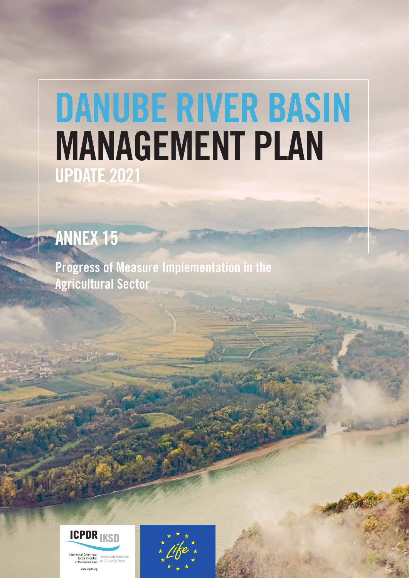# DANUBE RIVER BASIN MANAGEMENT PLAN UPDATE 2021

## ANNEX 15

Progress of Measure Implementation in the Agricultural Sector



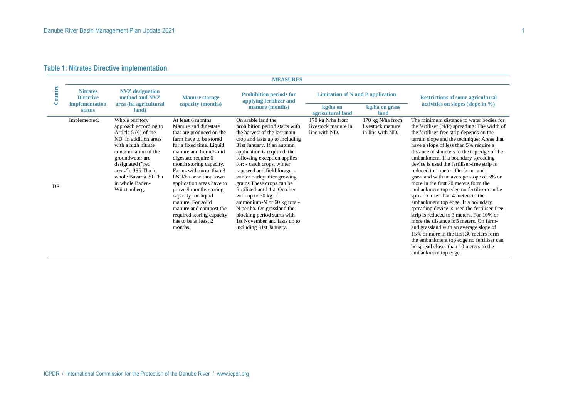### **Table 1: Nitrates Directive implementation**

|         |                                                       |                                                                                                                                                                                                                                                                    |                                                                                                                                                                                                                                                                                                                                                                                                                                                           | <b>MEASURES</b>                                                                                                                                                                                                                                                                                                                                                                                                                                                                                                                                            |                                                          |                                                          |                                                                                                                                                                                                                                                                                                                                                                                                                                                                                                                                                                                                                                                                                                                                                                                                                                                                                                                                                                 |
|---------|-------------------------------------------------------|--------------------------------------------------------------------------------------------------------------------------------------------------------------------------------------------------------------------------------------------------------------------|-----------------------------------------------------------------------------------------------------------------------------------------------------------------------------------------------------------------------------------------------------------------------------------------------------------------------------------------------------------------------------------------------------------------------------------------------------------|------------------------------------------------------------------------------------------------------------------------------------------------------------------------------------------------------------------------------------------------------------------------------------------------------------------------------------------------------------------------------------------------------------------------------------------------------------------------------------------------------------------------------------------------------------|----------------------------------------------------------|----------------------------------------------------------|-----------------------------------------------------------------------------------------------------------------------------------------------------------------------------------------------------------------------------------------------------------------------------------------------------------------------------------------------------------------------------------------------------------------------------------------------------------------------------------------------------------------------------------------------------------------------------------------------------------------------------------------------------------------------------------------------------------------------------------------------------------------------------------------------------------------------------------------------------------------------------------------------------------------------------------------------------------------|
| Country | <b>Nitrates</b><br><b>Directive</b><br>implementation | <b>NVZ</b> designation<br>method and NVZ<br>area (ha agricultural                                                                                                                                                                                                  | <b>Manure storage</b><br>capacity (months)                                                                                                                                                                                                                                                                                                                                                                                                                | <b>Prohibition periods for</b><br>applying fertilizer and<br>manure (months)                                                                                                                                                                                                                                                                                                                                                                                                                                                                               | <b>Limitation of N and P application</b><br>kg/ha on     |                                                          | <b>Restrictions of some agricultural</b><br>activities on slopes (slope in %)                                                                                                                                                                                                                                                                                                                                                                                                                                                                                                                                                                                                                                                                                                                                                                                                                                                                                   |
|         | status                                                | land)                                                                                                                                                                                                                                                              |                                                                                                                                                                                                                                                                                                                                                                                                                                                           |                                                                                                                                                                                                                                                                                                                                                                                                                                                                                                                                                            | agricultural land                                        | kg/ha on grass<br>land                                   |                                                                                                                                                                                                                                                                                                                                                                                                                                                                                                                                                                                                                                                                                                                                                                                                                                                                                                                                                                 |
| DE      | Implemented.                                          | Whole territory<br>approach according to<br>Article $5(6)$ of the<br>ND. In addition areas<br>with a high nitrate<br>contamination of the<br>groundwater are<br>designated ("red<br>areas"): 385 Tha in<br>whole Bavaria 30 Tha<br>in whole Baden-<br>Württemberg. | At least 6 months:<br>Manure and digestate<br>that are produced on the<br>farm have to be stored<br>for a fixed time. Liquid<br>manure and liquid/solid<br>digestate require 6<br>month storing capacity.<br>Farms with more than 3<br>LSU/ha or without own<br>application areas have to<br>prove 9 months storing<br>capacity for liquid<br>manure. For solid<br>manure and compost the<br>required storing capacity<br>has to be at least 2<br>months. | On arable land the<br>prohibition period starts with<br>the harvest of the last main<br>crop and lasts up to including<br>31st January. If an autumn<br>application is required, the<br>following exception applies<br>for: - catch crops, winter<br>rapeseed and field forage, -<br>winter barley after growing<br>grains These crops can be<br>fertilized until 1st October<br>with up to 30 kg of<br>ammonium-N or 60 kg total-<br>N per ha. On grassland the<br>blocking period starts with<br>1st November and lasts up to<br>including 31st January. | 170 kg N/ha from<br>livestock manure in<br>line with ND. | 170 kg N/ha from<br>livestock manure<br>in line with ND. | The minimum distance to water bodies for<br>the fertiliser $(N/P)$ spreading: The width of<br>the fertiliser-free strip depends on the<br>terrain slope and the technique: Areas that<br>have a slope of less than 5% require a<br>distance of 4 meters to the top edge of the<br>embankment. If a boundary spreading<br>device is used the fertiliser-free strip is<br>reduced to 1 meter. On farm- and<br>grassland with an average slope of 5% or<br>more in the first 20 meters form the<br>embankment top edge no fertiliser can be<br>spread closer than 4 meters to the<br>embankment top edge. If a boundary<br>spreading device is used the fertiliser-free<br>strip is reduced to 3 meters. For 10% or<br>more the distance is 5 meters. On farm-<br>and grassland with an average slope of<br>15% or more in the first 30 meters form<br>the embankment top edge no fertiliser can<br>be spread closer than 10 meters to the<br>embankment top edge. |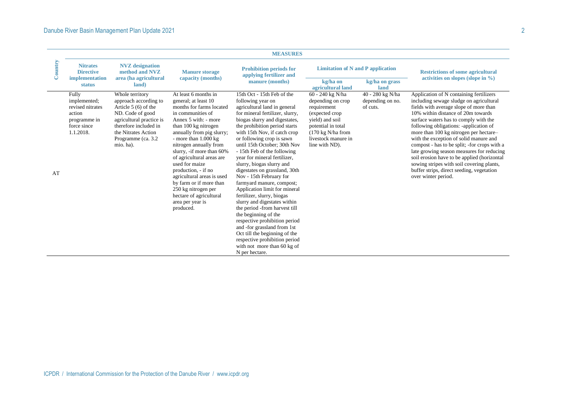| Country<br><b>Nitrates</b><br><b>NVZ</b> designation<br><b>Prohibition periods for</b><br><b>Limitation of N and P application</b><br><b>Directive</b><br><b>Manure storage</b><br><b>Restrictions of some agricultural</b><br>method and NVZ<br>applying fertilizer and<br>area (ha agricultural<br>activities on slopes (slope in $\%$ )<br>implementation<br>capacity (months)<br>manure (months)<br>kg/ha on<br>kg/ha on grass<br>land)<br><b>status</b><br>agricultural land<br>land<br>60 - 240 kg N/ha<br>40 - 280 kg N/ha<br>Application of N containing fertilizers<br>Whole territory<br>At least 6 months in<br>15th Oct - 15th Feb of the<br>Fully<br>approach according to<br>following year on<br>depending on no.<br>including sewage sludge on agricultural<br>implemented;<br>general; at least 10<br>depending on crop<br>Article $5(6)$ of the<br>fields with average slope of more than<br>revised nitrates<br>months for farms located<br>agricultural land in general<br>requirement<br>of cuts.<br>ND. Code of good<br>10% within distance of 20m towards<br>action<br>in communities of<br>for mineral fertilizer, slurry,<br>(expected crop<br>surface waters has to comply with the<br>agricultural practice is<br>Annex 5 with: - more<br>biogas slurry and digestates,<br>yield) and soil<br>programme in<br>therefore included in<br>force since<br>the prohibition period starts<br>following obligations: -application of<br>than 100 kg nitrogen<br>potential in total<br>1.1.2018.<br>more than 100 kg nitrogen per hectare-<br>the Nitrates Action<br>annually from pig slurry;<br>with 15th Nov, if catch crop<br>$(170 \text{ kg N/ha from})$<br>livestock manure in<br>with the exception of solid manure and<br>Programme (ca. 3.2)<br>- more than $1.000 \text{ kg}$<br>or following crop is sawn<br>nitrogen annually from<br>until 15th October; 30th Nov<br>line with ND).<br>compost - has to be split; -for crops with a<br>mio. ha).<br>slurry, -if more than 60%<br>- 15th Feb of the following<br>late growing season measures for reducing<br>of agricultural areas are<br>year for mineral fertilizer,<br>soil erosion have to be applied (horizontal<br>used for maize<br>slurry, biogas slurry and<br>sowing stripes with soil covering plants,<br>production, - if no<br>digestates on grassland, 30th<br>buffer strips, direct seeding, vegetation<br>AT<br>Nov - 15th February for<br>agricultural areas is used<br>over winter period.<br>by farm or if more than<br>farmyard manure, compost;<br>250 kg nitrogen per<br>Application limit for mineral<br>hectare of agricultural<br>fertilizer, slurry, biogas<br>area per year is<br>slurry and digestates within |  |
|----------------------------------------------------------------------------------------------------------------------------------------------------------------------------------------------------------------------------------------------------------------------------------------------------------------------------------------------------------------------------------------------------------------------------------------------------------------------------------------------------------------------------------------------------------------------------------------------------------------------------------------------------------------------------------------------------------------------------------------------------------------------------------------------------------------------------------------------------------------------------------------------------------------------------------------------------------------------------------------------------------------------------------------------------------------------------------------------------------------------------------------------------------------------------------------------------------------------------------------------------------------------------------------------------------------------------------------------------------------------------------------------------------------------------------------------------------------------------------------------------------------------------------------------------------------------------------------------------------------------------------------------------------------------------------------------------------------------------------------------------------------------------------------------------------------------------------------------------------------------------------------------------------------------------------------------------------------------------------------------------------------------------------------------------------------------------------------------------------------------------------------------------------------------------------------------------------------------------------------------------------------------------------------------------------------------------------------------------------------------------------------------------------------------------------------------------------------------------------------------------------------------------------------------------------------------------------------------------------------------------------------------------------------------------------------------------------------------------|--|
|                                                                                                                                                                                                                                                                                                                                                                                                                                                                                                                                                                                                                                                                                                                                                                                                                                                                                                                                                                                                                                                                                                                                                                                                                                                                                                                                                                                                                                                                                                                                                                                                                                                                                                                                                                                                                                                                                                                                                                                                                                                                                                                                                                                                                                                                                                                                                                                                                                                                                                                                                                                                                                                                                                                            |  |
| produced.<br>the period -from harvest till<br>the beginning of the<br>respective prohibition period<br>and -for grassland from 1st<br>Oct till the beginning of the<br>respective prohibition period<br>with not more than 60 kg of<br>N per hectare.                                                                                                                                                                                                                                                                                                                                                                                                                                                                                                                                                                                                                                                                                                                                                                                                                                                                                                                                                                                                                                                                                                                                                                                                                                                                                                                                                                                                                                                                                                                                                                                                                                                                                                                                                                                                                                                                                                                                                                                                                                                                                                                                                                                                                                                                                                                                                                                                                                                                      |  |
| ICPDR / International Commission for the Protection of the Danube River / www.icpdr.org                                                                                                                                                                                                                                                                                                                                                                                                                                                                                                                                                                                                                                                                                                                                                                                                                                                                                                                                                                                                                                                                                                                                                                                                                                                                                                                                                                                                                                                                                                                                                                                                                                                                                                                                                                                                                                                                                                                                                                                                                                                                                                                                                                                                                                                                                                                                                                                                                                                                                                                                                                                                                                    |  |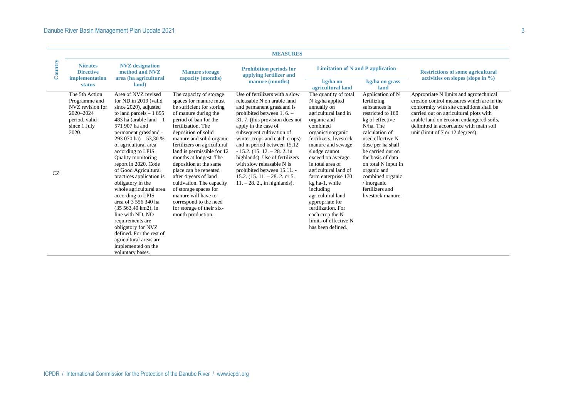| <b>Nitrates</b>                                                                                                                   |                                                                                                                                                                                                                                                                                                                                                                                                                                                                                                                                                                                                                                      |                                                                                                                                                                                                                                                                                                                                                                                                                                                                                                                                      |                                                                                                                                                                                                                                                                                                                                                                                                                                                                                     |                                                                                                                                                                                                                                                                                                                                                                                                                                                       |                                                                                                                                                                                                                                                                                                                               |                                                                                                                                                                                                                                                                                                     |
|-----------------------------------------------------------------------------------------------------------------------------------|--------------------------------------------------------------------------------------------------------------------------------------------------------------------------------------------------------------------------------------------------------------------------------------------------------------------------------------------------------------------------------------------------------------------------------------------------------------------------------------------------------------------------------------------------------------------------------------------------------------------------------------|--------------------------------------------------------------------------------------------------------------------------------------------------------------------------------------------------------------------------------------------------------------------------------------------------------------------------------------------------------------------------------------------------------------------------------------------------------------------------------------------------------------------------------------|-------------------------------------------------------------------------------------------------------------------------------------------------------------------------------------------------------------------------------------------------------------------------------------------------------------------------------------------------------------------------------------------------------------------------------------------------------------------------------------|-------------------------------------------------------------------------------------------------------------------------------------------------------------------------------------------------------------------------------------------------------------------------------------------------------------------------------------------------------------------------------------------------------------------------------------------------------|-------------------------------------------------------------------------------------------------------------------------------------------------------------------------------------------------------------------------------------------------------------------------------------------------------------------------------|-----------------------------------------------------------------------------------------------------------------------------------------------------------------------------------------------------------------------------------------------------------------------------------------------------|
| Country<br><b>Directive</b><br>implementation<br>status                                                                           | <b>NVZ</b> designation<br>method and NVZ<br>area (ha agricultural<br>land)                                                                                                                                                                                                                                                                                                                                                                                                                                                                                                                                                           | <b>Manure storage</b><br>capacity (months)                                                                                                                                                                                                                                                                                                                                                                                                                                                                                           | <b>Prohibition periods for</b><br>applying fertilizer and<br>manure (months)                                                                                                                                                                                                                                                                                                                                                                                                        | <b>Limitation of N and P application</b><br>kg/ha on<br>agricultural land                                                                                                                                                                                                                                                                                                                                                                             | kg/ha on grass<br>land                                                                                                                                                                                                                                                                                                        | <b>Restrictions of some agricultural</b><br>activities on slopes (slope in $\%$ )                                                                                                                                                                                                                   |
| The 5th Action<br>Programme and<br>NVZ revision for<br>2020-2024<br>period, valid<br>since 1 July<br>2020.<br>$\operatorname{CZ}$ | Area of NVZ revised<br>for ND in 2019 (valid<br>since 2020), adjusted<br>to land parcels $-1895$<br>483 ha (arable land $-1$<br>571 907 ha and<br>permanent grassland -<br>293 070 ha) - 53,30 %<br>of agricultural area<br>according to LPIS.<br>Quality monitoring<br>report in 2020. Code<br>of Good Agricultural<br>practices application is<br>obligatory in the<br>whole agricultural area<br>according to LPIS -<br>area of 3 556 340 ha<br>(35 563,40 km2), in<br>line with ND. ND<br>requirements are<br>obligatory for NVZ<br>defined. For the rest of<br>agricultural areas are<br>implemented on the<br>voluntary bases. | The capacity of storage<br>spaces for manure must<br>be sufficient for storing<br>of manure during the<br>period of ban for the<br>fertilization. The<br>deposition of solid<br>manure and solid organic<br>fertilizers on agricultural<br>land is permissible for 12<br>months at longest. The<br>deposition at the same<br>place can be repeated<br>after 4 years of land<br>cultivation. The capacity<br>of storage spaces for<br>manure will have to<br>correspond to the need<br>for storage of their six-<br>month production. | Use of fertilizers with a slow<br>releasable N on arable land<br>and permanent grassland is<br>prohibited between $1.6 -$<br>31.7. (this provision does not<br>apply in the case of<br>subsequent cultivation of<br>winter crops and catch crops)<br>and in period between 15.12<br>$-15.2$ . (15. 12. $-28.2$ . in<br>highlands). Use of fertilizers<br>with slow releasable N is<br>prohibited between 15.11. -<br>15.2. $(15.11 - 28.2)$ or 5.<br>$11. - 28. 2.,$ in highlands). | The quantity of total<br>N kg/ha applied<br>annually on<br>agricultural land in<br>organic and<br>combined<br>organic/inorganic<br>fertilizers, livestock<br>manure and sewage<br>sludge cannot<br>exceed on average<br>in total area of<br>agricultural land of<br>farm enterprise 170<br>kg ha-1, while<br>including<br>agricultural land<br>appropriate for<br>fertilization. For<br>each crop the N<br>limits of effective N<br>has been defined. | Application of N<br>fertilizing<br>substances is<br>restricted to 160<br>kg of effective<br>N/ha. The<br>calculation of<br>used effective N<br>dose per ha shall<br>be carried out on<br>the basis of data<br>on total N input in<br>organic and<br>combined organic<br>$/$ inorganic<br>fertilizers and<br>livestock manure. | Appropriate N limits and agrotechnical<br>erosion control measures which are in the<br>conformity with site conditions shall be<br>carried out on agricultural plots with<br>arable land on erosion endangered soils,<br>delimited in accordance with main soil<br>unit (limit of 7 or 12 degrees). |
|                                                                                                                                   |                                                                                                                                                                                                                                                                                                                                                                                                                                                                                                                                                                                                                                      |                                                                                                                                                                                                                                                                                                                                                                                                                                                                                                                                      |                                                                                                                                                                                                                                                                                                                                                                                                                                                                                     |                                                                                                                                                                                                                                                                                                                                                                                                                                                       |                                                                                                                                                                                                                                                                                                                               |                                                                                                                                                                                                                                                                                                     |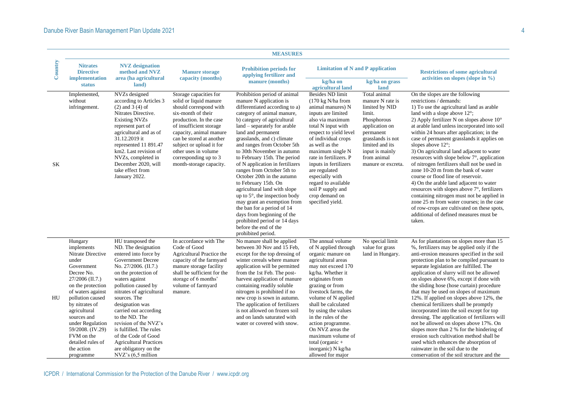|           |                                                                                                                                                                                                                                                                                                                         |                                                                                                                                                                                                                                                                                                                                                                                                                                                      |                                                                                                                                                                                                                                                                                                                       | <b>MEASURES</b>                                                                                                                                                                                                                                                                                                                                                                                                                                                                                                                                                                                                                                                                                                   |                                                                                                                                                                                                                                                                                                                                                                                                                          |                                                                                                                                                                                                            |                                                                                                                                                                                                                                                                                                                                                                                                                                                                                                                                                                                                                                                                                                                                                                                                                                                                               |
|-----------|-------------------------------------------------------------------------------------------------------------------------------------------------------------------------------------------------------------------------------------------------------------------------------------------------------------------------|------------------------------------------------------------------------------------------------------------------------------------------------------------------------------------------------------------------------------------------------------------------------------------------------------------------------------------------------------------------------------------------------------------------------------------------------------|-----------------------------------------------------------------------------------------------------------------------------------------------------------------------------------------------------------------------------------------------------------------------------------------------------------------------|-------------------------------------------------------------------------------------------------------------------------------------------------------------------------------------------------------------------------------------------------------------------------------------------------------------------------------------------------------------------------------------------------------------------------------------------------------------------------------------------------------------------------------------------------------------------------------------------------------------------------------------------------------------------------------------------------------------------|--------------------------------------------------------------------------------------------------------------------------------------------------------------------------------------------------------------------------------------------------------------------------------------------------------------------------------------------------------------------------------------------------------------------------|------------------------------------------------------------------------------------------------------------------------------------------------------------------------------------------------------------|-------------------------------------------------------------------------------------------------------------------------------------------------------------------------------------------------------------------------------------------------------------------------------------------------------------------------------------------------------------------------------------------------------------------------------------------------------------------------------------------------------------------------------------------------------------------------------------------------------------------------------------------------------------------------------------------------------------------------------------------------------------------------------------------------------------------------------------------------------------------------------|
| Country   | <b>Nitrates</b><br><b>Directive</b><br>implementation<br><b>status</b>                                                                                                                                                                                                                                                  | <b>NVZ</b> designation<br>method and NVZ<br>area (ha agricultural<br>land)                                                                                                                                                                                                                                                                                                                                                                           | <b>Manure storage</b><br>capacity (months)                                                                                                                                                                                                                                                                            | <b>Prohibition periods for</b><br>applying fertilizer and<br>manure (months)                                                                                                                                                                                                                                                                                                                                                                                                                                                                                                                                                                                                                                      | <b>Limitation of N and P application</b><br>kg/ha on<br>agricultural land                                                                                                                                                                                                                                                                                                                                                | kg/ha on grass<br>land                                                                                                                                                                                     | <b>Restrictions of some agricultural</b><br>activities on slopes (slope in $\%$ )                                                                                                                                                                                                                                                                                                                                                                                                                                                                                                                                                                                                                                                                                                                                                                                             |
| <b>SK</b> | Implemented,<br>without<br>infringement.                                                                                                                                                                                                                                                                                | NVZs designed<br>according to Articles 3<br>$(2)$ and $3(4)$ of<br>Nitrates Directive.<br><b>Existing NVZs</b><br>represent part of<br>agricultural and as of<br>31.12.2019 it<br>represented 11 891.47<br>km2. Last revision of<br>NVZs, completed in<br>December 2020, will<br>take effect from<br>January 2022.                                                                                                                                   | Storage capacities for<br>solid or liquid manure<br>should correspond with<br>six-month of their<br>production. In the case<br>of insufficient storage<br>capacity, animal manure<br>can be stored at another<br>subject or upload it for<br>other uses in volume<br>corresponding up to 3<br>month-storage capacity. | Prohibition period of animal<br>manure N application is<br>differentiated according to a)<br>category of animal manure,<br>b) category of agricultural<br>land – separately for arable<br>land and permanent<br>grasslands, and c) climate<br>and ranges from October 5th<br>to 30th November in autumn<br>to February 15th. The period<br>of N application in fertilizers<br>ranges from October 5th to<br>October 20th in the autumn<br>to February 15th. On<br>agricultural land with slope<br>up to $5^\circ$ , the inspection body<br>may grant an exemption from<br>the ban for a period of 14<br>days from beginning of the<br>prohibited period or 14 days<br>before the end of the<br>prohibited period. | <b>Besides ND limit</b><br>$(170 \text{ kg N/ha from})$<br>animal manures) N<br>inputs are limited<br>also via maximum<br>total N input with<br>respect to yield level<br>of individual crops<br>as well as the<br>maximum single N<br>rate in fertilizers. P<br>inputs in fertilizers<br>are regulated<br>especially with<br>regard to available<br>soil P supply and<br>crop demand on<br>specified vield.             | Total animal<br>manure N rate is<br>limited by NID<br>limit.<br>Phosphorous<br>application on<br>permanent<br>grasslands is not<br>limited and its<br>input is mainly<br>from animal<br>manure or excreta. | On the slopes are the following<br>restrictions / demands:<br>1) To use the agricultural land as arable<br>land with a slope above 12°;<br>2) Apply fertilizer N on slopes above $10^{\circ}$<br>at arable land unless incorporated into soil<br>within 24 hours after application; in the<br>case of permanent grasslands it applies on<br>slopes above 12°:<br>3) On agricultural land adjacent to water<br>resources with slope below 7°, application<br>of nitrogen fertilizers shall not be used in<br>zone 10-20 m from the bank of water<br>course or flood line of reservoir.<br>4) On the arable land adjacent to water<br>resources with slopes above 7°, fertilizers<br>containing nitrogen must not be applied in<br>zone 25 m from water courses; in the case<br>of row-crops are cultivated on these spots,<br>additional of defined measures must be<br>taken. |
| HU        | Hungary<br>implements<br>Nitrate Directive<br>under<br>Government<br>Decree No.<br>27/2006 (II.7.)<br>on the protection<br>of waters against<br>pollution caused<br>by nitrates of<br>agricultural<br>sources and<br>under Regulation<br>59/2008. (IV.29)<br>FVM on the<br>detailed rules of<br>the action<br>programme | HU transposed the<br>ND. The designation<br>entered into force by<br>Government Decree<br>No. 27/2006. (II.7.)<br>on the protection of<br>waters against<br>pollution caused by<br>nitrates of agricultural<br>sources. The<br>designation was<br>carried out according<br>to the ND. The<br>revision of the NVZ's<br>is fulfilled. The rules<br>of the Code of Good<br><b>Agricultural Practices</b><br>are obligatory on the<br>NVZ's (6.5 million | In accordance with The<br>Code of Good<br>Agricultural Practice the<br>capacity of the farmyard<br>manure storage facility<br>shall be sufficient for the<br>storage of 6 months'<br>volume of farmyard<br>manure.                                                                                                    | No manure shall be applied<br>between 30 Nov and 15 Feb,<br>except for the top dressing of<br>winter cereals where manure<br>application will be permitted<br>from the 1st Feb. The post-<br>harvest application of manure<br>containing readily soluble<br>nitrogen is prohibited if no<br>new crop is sown in autumn.<br>The application of fertilizers<br>is not allowed on frozen soil<br>and on lands saturated with<br>water or covered with snow.                                                                                                                                                                                                                                                          | The annual volume<br>of N applied through<br>organic manure on<br>agricultural areas<br>may not exceed 170<br>kg/ha. Whether it<br>originates from<br>grazing or from<br>livestock farms, the<br>volume of N applied<br>shall be calculated<br>by using the values<br>in the rules of the<br>action programme.<br>On NVZ areas the<br>maximum volume of<br>total (organic $+$<br>inorganic) N kg/ha<br>allowed for major | No special limit<br>value for grass<br>land in Hungary.                                                                                                                                                    | As for plantations on slopes more than 15<br>%, fertilizers may be applied only if the<br>anti-erosion measures specified in the soil<br>protection plan to be compiled pursuant to<br>separate legislation are fulfilled. The<br>application of slurry will not be allowed<br>on slopes above 6%, except if done with<br>the sliding hose (hose curtain) procedure<br>that may be used on slopes of maximum<br>12%. If applied on slopes above 12%, the<br>chemical fertilizers shall be promptly<br>incorporated into the soil except for top<br>dressing. The application of fertilizers will<br>not be allowed on slopes above 17%. On<br>slopes more than 2 % for the hindering of<br>erosion such cultivation method shall be<br>used which enhances the absorption of<br>rainwater in the soil due to the<br>conservation of the soil structure and the                |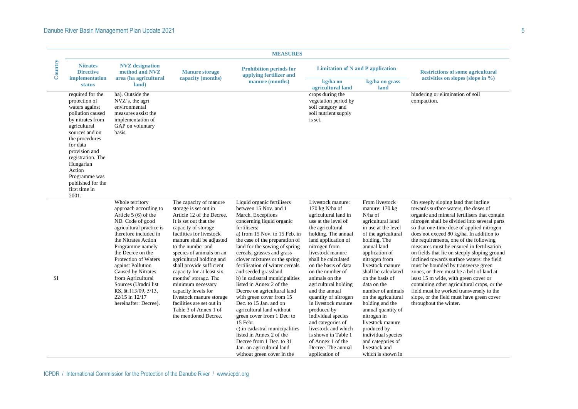|           |                                                                                                                                                                                                                                                                                          |                                                                                                                                                                                                                                                                                                                                                                                              |                                                                                                                                                                                                                                                                                                                                                                                                                                                                                                            | <b>MEASURES</b>                                                                                                                                                                                                                                                                                                                                                                                                                                                                                                                                                                                                                                                                                                                      |                                                                                                                                                                                                                                                                                                                                                                                                                                                                                                                                                |                                                                                                                                                                                                                                                                                                                                                                                                                                                                                       |                                                                                                                                                                                                                                                                                                                                                                                                                                                                                                                                                                                                                                                                                                                                                          |
|-----------|------------------------------------------------------------------------------------------------------------------------------------------------------------------------------------------------------------------------------------------------------------------------------------------|----------------------------------------------------------------------------------------------------------------------------------------------------------------------------------------------------------------------------------------------------------------------------------------------------------------------------------------------------------------------------------------------|------------------------------------------------------------------------------------------------------------------------------------------------------------------------------------------------------------------------------------------------------------------------------------------------------------------------------------------------------------------------------------------------------------------------------------------------------------------------------------------------------------|--------------------------------------------------------------------------------------------------------------------------------------------------------------------------------------------------------------------------------------------------------------------------------------------------------------------------------------------------------------------------------------------------------------------------------------------------------------------------------------------------------------------------------------------------------------------------------------------------------------------------------------------------------------------------------------------------------------------------------------|------------------------------------------------------------------------------------------------------------------------------------------------------------------------------------------------------------------------------------------------------------------------------------------------------------------------------------------------------------------------------------------------------------------------------------------------------------------------------------------------------------------------------------------------|---------------------------------------------------------------------------------------------------------------------------------------------------------------------------------------------------------------------------------------------------------------------------------------------------------------------------------------------------------------------------------------------------------------------------------------------------------------------------------------|----------------------------------------------------------------------------------------------------------------------------------------------------------------------------------------------------------------------------------------------------------------------------------------------------------------------------------------------------------------------------------------------------------------------------------------------------------------------------------------------------------------------------------------------------------------------------------------------------------------------------------------------------------------------------------------------------------------------------------------------------------|
| Country   | <b>Nitrates</b><br><b>Directive</b><br>implementation<br><b>status</b>                                                                                                                                                                                                                   | <b>NVZ</b> designation<br>method and NVZ<br>area (ha agricultural<br>land)                                                                                                                                                                                                                                                                                                                   | <b>Manure storage</b><br>capacity (months)                                                                                                                                                                                                                                                                                                                                                                                                                                                                 | <b>Prohibition periods for</b><br>applying fertilizer and<br>manure (months)                                                                                                                                                                                                                                                                                                                                                                                                                                                                                                                                                                                                                                                         | <b>Limitation of N and P application</b><br>kg/ha on<br>agricultural land                                                                                                                                                                                                                                                                                                                                                                                                                                                                      | kg/ha on grass<br>land                                                                                                                                                                                                                                                                                                                                                                                                                                                                | <b>Restrictions of some agricultural</b><br>activities on slopes (slope in $\%$ )                                                                                                                                                                                                                                                                                                                                                                                                                                                                                                                                                                                                                                                                        |
|           | required for the<br>protection of<br>waters against<br>pollution caused<br>by nitrates from<br>agricultural<br>sources and on<br>the procedures<br>for data<br>provision and<br>registration. The<br>Hungarian<br>Action<br>Programme was<br>published for the<br>first time in<br>2001. | ha). Outside the<br>NVZ's, the agri<br>environmental<br>measures assist the<br>implementation of<br>GAP on voluntary<br>basis.                                                                                                                                                                                                                                                               |                                                                                                                                                                                                                                                                                                                                                                                                                                                                                                            |                                                                                                                                                                                                                                                                                                                                                                                                                                                                                                                                                                                                                                                                                                                                      | crops during the<br>vegetation period by<br>soil category and<br>soil nutrient supply<br>is set.                                                                                                                                                                                                                                                                                                                                                                                                                                               |                                                                                                                                                                                                                                                                                                                                                                                                                                                                                       | hindering or elimination of soil<br>compaction.                                                                                                                                                                                                                                                                                                                                                                                                                                                                                                                                                                                                                                                                                                          |
| <b>SI</b> |                                                                                                                                                                                                                                                                                          | Whole territory<br>approach according to<br>Article 5 (6) of the<br>ND. Code of good<br>agricultural practice is<br>therefore included in<br>the Nitrates Action<br>Programme namely<br>the Decree on the<br>Protection of Waters<br>against Pollution<br>Caused by Nitrates<br>from Agricultural<br>Sources (Uradni list<br>RS, št.113/09, 5/13,<br>22/15 in 12/17<br>hereinafter: Decree). | The capacity of manure<br>storage is set out in<br>Article 12 of the Decree.<br>It is set out that the<br>capacity of storage<br>facilities for livestock<br>manure shall be adjusted<br>to the number and<br>species of animals on an<br>agricultural holding and<br>shall provide sufficient<br>capacity for at least six<br>months' storage. The<br>minimum necessary<br>capacity levels for<br>livestock manure storage<br>facilities are set out in<br>Table 3 of Annex 1 of<br>the mentioned Decree. | Liquid organic fertilisers<br>between 15 Nov. and 1<br>March. Exceptions<br>concerning liquid organic<br>fertilisers:<br>a) from 15 Nov. to 15 Feb. in<br>the case of the preparation of<br>land for the sowing of spring<br>cereals, grasses and grass-<br>clover mixtures or the spring<br>fertilisation of winter cereals<br>and seeded grassland.<br>b) in cadastral municipalities<br>listed in Annex 2 of the<br>Decree on agricultural land<br>with green cover from 15<br>Dec. to 15 Jan. and on<br>agricultural land without<br>green cover from 1 Dec. to<br>15 Febr.<br>c) in cadastral municipalities<br>listed in Annex 2 of the<br>Decree from 1 Dec. to 31<br>Jan. on agricultural land<br>without green cover in the | Livestock manure:<br>170 kg $N/ha$ of<br>agricultural land in<br>use at the level of<br>the agricultural<br>holding. The annual<br>land application of<br>nitrogen from<br>livestock manure<br>shall be calculated<br>on the basis of data<br>on the number of<br>animals on the<br>agricultural holding<br>and the annual<br>quantity of nitrogen<br>in livestock manure<br>produced by<br>individual species<br>and categories of<br>livestock and which<br>is shown in Table 1<br>of Annex 1 of the<br>Decree. The annual<br>application of | From livestock<br>manure: 170 kg<br>N/ha of<br>agricultural land<br>in use at the level<br>of the agricultural<br>holding. The<br>annual land<br>application of<br>nitrogen from<br>livestock manure<br>shall be calculated<br>on the basis of<br>data on the<br>number of animals<br>on the agricultural<br>holding and the<br>annual quantity of<br>nitrogen in<br>livestock manure<br>produced by<br>individual species<br>and categories of<br>livestock and<br>which is shown in | On steeply sloping land that incline<br>towards surface waters, the doses of<br>organic and mineral fertilisers that contain<br>nitrogen shall be divided into several parts<br>so that one-time dose of applied nitrogen<br>does not exceed 80 kg/ha. In addition to<br>the requirements, one of the following<br>measures must be ensured in fertilisation<br>on fields that lie on steeply sloping ground<br>inclined towards surface waters: the field<br>must be bounded by transverse green<br>zones, or there must be a belt of land at<br>least 15 m wide, with green cover or<br>containing other agricultural crops, or the<br>field must be worked transversely to the<br>slope, or the field must have green cover<br>throughout the winter. |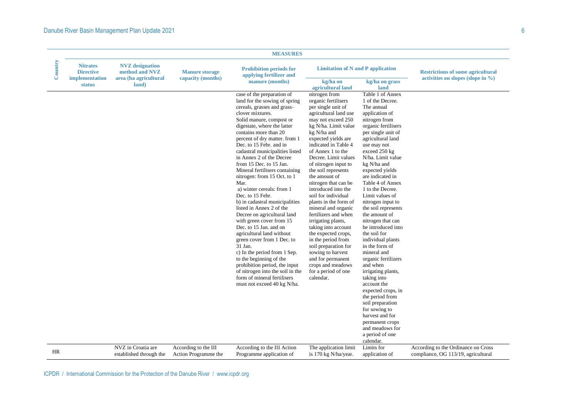|         |                                                                        |                                                                            |                                              | <b>MEASURES</b>                                                                                                                                                                                                                                                                                                                                                                                                                                                                                                                                                                                                                                                                                                                                                                                                                                                                                           |                                                                                                                                                                                                                                                                                                                                                                                                                                                                                                                                                                                                                                                                                                      |                                                                                                                                                                                                                                                                                                                                                                                                                                                                                                                                                                                                                                                                                                                                                                                   |                                                                                   |
|---------|------------------------------------------------------------------------|----------------------------------------------------------------------------|----------------------------------------------|-----------------------------------------------------------------------------------------------------------------------------------------------------------------------------------------------------------------------------------------------------------------------------------------------------------------------------------------------------------------------------------------------------------------------------------------------------------------------------------------------------------------------------------------------------------------------------------------------------------------------------------------------------------------------------------------------------------------------------------------------------------------------------------------------------------------------------------------------------------------------------------------------------------|------------------------------------------------------------------------------------------------------------------------------------------------------------------------------------------------------------------------------------------------------------------------------------------------------------------------------------------------------------------------------------------------------------------------------------------------------------------------------------------------------------------------------------------------------------------------------------------------------------------------------------------------------------------------------------------------------|-----------------------------------------------------------------------------------------------------------------------------------------------------------------------------------------------------------------------------------------------------------------------------------------------------------------------------------------------------------------------------------------------------------------------------------------------------------------------------------------------------------------------------------------------------------------------------------------------------------------------------------------------------------------------------------------------------------------------------------------------------------------------------------|-----------------------------------------------------------------------------------|
| Country | <b>Nitrates</b><br><b>Directive</b><br>implementation<br><b>status</b> | <b>NVZ</b> designation<br>method and NVZ<br>area (ha agricultural<br>land) | <b>Manure storage</b><br>capacity (months)   | <b>Prohibition periods for</b><br>applying fertilizer and<br>manure (months)                                                                                                                                                                                                                                                                                                                                                                                                                                                                                                                                                                                                                                                                                                                                                                                                                              | <b>Limitation of N and P application</b><br>kg/ha on                                                                                                                                                                                                                                                                                                                                                                                                                                                                                                                                                                                                                                                 | kg/ha on grass                                                                                                                                                                                                                                                                                                                                                                                                                                                                                                                                                                                                                                                                                                                                                                    | <b>Restrictions of some agricultural</b><br>activities on slopes (slope in $\%$ ) |
|         |                                                                        |                                                                            |                                              | case of the preparation of<br>land for the sowing of spring<br>cereals, grasses and grass-<br>clover mixtures.<br>Solid manure, compost or<br>digestate, where the latter<br>contains more than 20<br>percent of dry matter. from 1<br>Dec. to 15 Febr. and in<br>cadastral municipalities listed<br>in Annex 2 of the Decree<br>from 15 Dec. to 15 Jan.<br>Mineral fertilisers containing<br>nitrogen: from 15 Oct. to 1<br>Mar.<br>a) winter cereals: from 1<br>Dec. to 15 Febr.<br>b) in cadastral municipalities<br>listed in Annex 2 of the<br>Decree on agricultural land<br>with green cover from 15<br>Dec. to 15 Jan. and on<br>agricultural land without<br>green cover from 1 Dec. to<br>31 Jan.<br>c) In the period from 1 Sep.<br>to the beginning of the<br>prohibition period, the input<br>of nitrogen into the soil in the<br>form of mineral fertilisers<br>must not exceed 40 kg N/ha. | agricultural land<br>nitrogen from<br>organic fertilisers<br>per single unit of<br>agricultural land use<br>may not exceed 250<br>kg N/ha. Limit value<br>kg N/ha and<br>expected yields are<br>indicated in Table 4<br>of Annex 1 to the<br>Decree. Limit values<br>of nitrogen input to<br>the soil represents<br>the amount of<br>nitrogen that can be<br>introduced into the<br>soil for individual<br>plants in the form of<br>mineral and organic<br>fertilizers and when<br>irrigating plants,<br>taking into account<br>the expected crops,<br>in the period from<br>soil preparation for<br>sowing to harvest<br>and for permanent<br>crops and meadows<br>for a period of one<br>calendar. | land<br>Table 1 of Annex<br>1 of the Decree.<br>The annual<br>application of<br>nitrogen from<br>organic fertilisers<br>per single unit of<br>agricultural land<br>use may not<br>exceed 250 kg<br>N/ha. Limit value<br>kg N/ha and<br>expected yields<br>are indicated in<br>Table 4 of Annex<br>1 to the Decree.<br>Limit values of<br>nitrogen input to<br>the soil represents<br>the amount of<br>nitrogen that can<br>be introduced into<br>the soil for<br>individual plants<br>in the form of<br>mineral and<br>organic fertilizers<br>and when<br>irrigating plants,<br>taking into<br>account the<br>expected crops, in<br>the period from<br>soil preparation<br>for sowing to<br>harvest and for<br>permanent crops<br>and meadows for<br>a period of one<br>calendar. |                                                                                   |
| HR      |                                                                        | NVZ in Croatia are<br>established through the                              | According to the III<br>Action Programme the | According to the III Action<br>Programme application of                                                                                                                                                                                                                                                                                                                                                                                                                                                                                                                                                                                                                                                                                                                                                                                                                                                   | The application limit<br>is 170 kg N/ha/year.                                                                                                                                                                                                                                                                                                                                                                                                                                                                                                                                                                                                                                                        | Limits for<br>application of                                                                                                                                                                                                                                                                                                                                                                                                                                                                                                                                                                                                                                                                                                                                                      | According to the Ordinance on Cross<br>compliance, OG 113/19, agricultural        |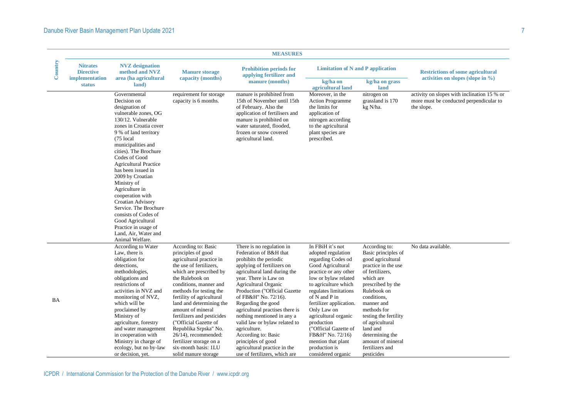|           |                                     |                                                                                                                                                                                                                                                                                                                                                                                                                                                                                                                          |                                                                                                                                                                                                                                                                                                                                                                                                                                                                      | <b>MEASURES</b>                                                                                                                                                                                                                                                                                                                                                                                                                                                                                             |                                                                                                                                                                                                                                                                                                                                                                                                |                                                                                                                                                                                                                                                                                                                                   |                                                                                                      |
|-----------|-------------------------------------|--------------------------------------------------------------------------------------------------------------------------------------------------------------------------------------------------------------------------------------------------------------------------------------------------------------------------------------------------------------------------------------------------------------------------------------------------------------------------------------------------------------------------|----------------------------------------------------------------------------------------------------------------------------------------------------------------------------------------------------------------------------------------------------------------------------------------------------------------------------------------------------------------------------------------------------------------------------------------------------------------------|-------------------------------------------------------------------------------------------------------------------------------------------------------------------------------------------------------------------------------------------------------------------------------------------------------------------------------------------------------------------------------------------------------------------------------------------------------------------------------------------------------------|------------------------------------------------------------------------------------------------------------------------------------------------------------------------------------------------------------------------------------------------------------------------------------------------------------------------------------------------------------------------------------------------|-----------------------------------------------------------------------------------------------------------------------------------------------------------------------------------------------------------------------------------------------------------------------------------------------------------------------------------|------------------------------------------------------------------------------------------------------|
| Country   | <b>Nitrates</b><br><b>Directive</b> | <b>NVZ</b> designation<br>method and NVZ                                                                                                                                                                                                                                                                                                                                                                                                                                                                                 | <b>Manure storage</b><br>capacity (months)                                                                                                                                                                                                                                                                                                                                                                                                                           | <b>Prohibition periods for</b><br>applying fertilizer and                                                                                                                                                                                                                                                                                                                                                                                                                                                   | <b>Limitation of N and P application</b>                                                                                                                                                                                                                                                                                                                                                       |                                                                                                                                                                                                                                                                                                                                   | <b>Restrictions of some agricultural</b>                                                             |
|           | implementation<br><b>status</b>     | area (ha agricultural<br>land)                                                                                                                                                                                                                                                                                                                                                                                                                                                                                           |                                                                                                                                                                                                                                                                                                                                                                                                                                                                      | manure (months)                                                                                                                                                                                                                                                                                                                                                                                                                                                                                             | kg/ha on<br>agricultural land                                                                                                                                                                                                                                                                                                                                                                  | kg/ha on grass<br>land                                                                                                                                                                                                                                                                                                            | activities on slopes (slope in $\%$ )                                                                |
|           |                                     | Governmental<br>Decision on<br>designation of<br>vulnerable zones, OG<br>130/12. Vulnerable<br>zones in Croatia cover<br>9 % of land territory<br>(75 local<br>municipalities and<br>cities). The Brochure<br>Codes of Good<br><b>Agricultural Practice</b><br>has been issued in<br>2009 by Croatian<br>Ministry of<br>Agriculture in<br>cooperation with<br>Croatian Advisory<br>Service. The Brochure<br>consists of Codes of<br>Good Agricultural<br>Practice in usage of<br>Land, Air, Water and<br>Animal Welfare. | requirement for storage<br>capacity is 6 months.                                                                                                                                                                                                                                                                                                                                                                                                                     | manure is prohibited from<br>15th of November until 15th<br>of February. Also the<br>application of fertilisers and<br>manure is prohibited on<br>water saturated, flooded,<br>frozen or snow covered<br>agricultural land.                                                                                                                                                                                                                                                                                 | Moreover, in the<br><b>Action Programme</b><br>the limits for<br>application of<br>nitrogen according<br>to the agricultural<br>plant species are<br>prescribed.                                                                                                                                                                                                                               | nitrogen on<br>grassland is 170<br>kg N/ha.                                                                                                                                                                                                                                                                                       | activity on slopes with inclination 15 % or<br>more must be conducted perpendicular to<br>the slope. |
| <b>BA</b> |                                     | According to Water<br>Law, there is<br>obligation for<br>detections.<br>methodologies,<br>obligations and<br>restrictions of<br>activities in NVZ and<br>monitoring of NVZ,<br>which will be<br>proclaimed by<br>Ministry of<br>agriculture, forestry<br>and water management<br>in cooperation with<br>Ministry in charge of<br>ecology, but no by-law<br>or decision, yet.                                                                                                                                             | According to: Basic<br>principles of good<br>agricultural practice in<br>the use of fertilizers.<br>which are prescribed by<br>the Rulebook on<br>conditions, manner and<br>methods for testing the<br>fertility of agricultural<br>land and determining the<br>amount of mineral<br>fertilizers and pesticides<br>("Official Gazette of<br>Republika Srpska" No.<br>26/14), recommended:<br>fertilizer storage on a<br>six-month basis: 1LU<br>solid manure storage | There is no regulation in<br>Federation of B&H that<br>prohibits the periodic<br>applying of fertilizers on<br>agricultural land during the<br>year. There is Law on<br>Agricultural Organic<br>Production ("Official Gazette<br>of FB&H" No. 72/16).<br>Regarding the good<br>agricultural practises there is<br>nothing mentioned in any a<br>valid law or bylaw related to<br>agriculture.<br>According to: Basic<br>principles of good<br>agricultural practice in the<br>use of fertilizers, which are | In FBiH it's not<br>adopted regulation<br>regarding Codes od<br>Good Agricultural<br>practice or any other<br>low or bylaw related<br>to agriculture which<br>regulates limitations<br>of N and P in<br>fertilizer application.<br>Only Law on<br>agricultural organic<br>production<br>("Official Gazette of<br>FB&H" No. 72/16)<br>mention that plant<br>production is<br>considered organic | According to:<br>Basic principles of<br>good agricultural<br>practice in the use<br>of fertilizers,<br>which are<br>prescribed by the<br>Rulebook on<br>conditions.<br>manner and<br>methods for<br>testing the fertility<br>of agricultural<br>land and<br>determining the<br>amount of mineral<br>fertilizers and<br>pesticides | No data available.                                                                                   |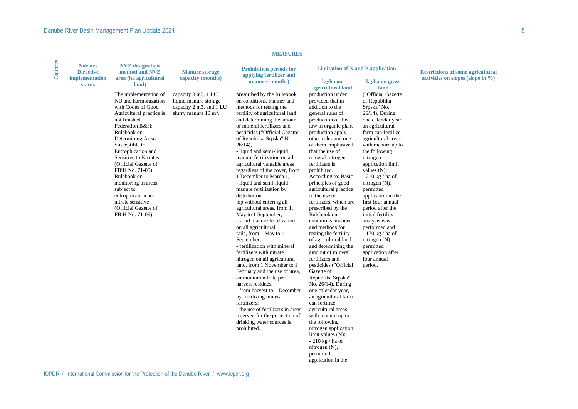| Country        | <b>Nitrates</b><br><b>Directive</b> | <b>NVZ</b> designation<br>method and NVZ                                                                                                                                                                                                                                                                                                                                                                                      | <b>Manure storage</b><br>capacity (months)                                                                  | <b>Prohibition periods for</b><br>applying fertilizer and<br>manure (months)                                                                                                                                                                                                                                                                                                                                                                                                                                                                                                                                                                                                                                                                                                                                                                                                                                                                                                                                                                                                  | <b>Limitation of N and P application</b>                                                                                                                                                                                                                                                                                                                                                                                                                                                                                                                                                                                                                                                                                                                                                                                                                                                                            |                                                                                                                                                                                                                                                                                                                                                                                                                                                                                                                                 | <b>Restrictions of some agricultural</b> |
|----------------|-------------------------------------|-------------------------------------------------------------------------------------------------------------------------------------------------------------------------------------------------------------------------------------------------------------------------------------------------------------------------------------------------------------------------------------------------------------------------------|-------------------------------------------------------------------------------------------------------------|-------------------------------------------------------------------------------------------------------------------------------------------------------------------------------------------------------------------------------------------------------------------------------------------------------------------------------------------------------------------------------------------------------------------------------------------------------------------------------------------------------------------------------------------------------------------------------------------------------------------------------------------------------------------------------------------------------------------------------------------------------------------------------------------------------------------------------------------------------------------------------------------------------------------------------------------------------------------------------------------------------------------------------------------------------------------------------|---------------------------------------------------------------------------------------------------------------------------------------------------------------------------------------------------------------------------------------------------------------------------------------------------------------------------------------------------------------------------------------------------------------------------------------------------------------------------------------------------------------------------------------------------------------------------------------------------------------------------------------------------------------------------------------------------------------------------------------------------------------------------------------------------------------------------------------------------------------------------------------------------------------------|---------------------------------------------------------------------------------------------------------------------------------------------------------------------------------------------------------------------------------------------------------------------------------------------------------------------------------------------------------------------------------------------------------------------------------------------------------------------------------------------------------------------------------|------------------------------------------|
| implementation | <b>status</b>                       | area (ha agricultural<br>land)                                                                                                                                                                                                                                                                                                                                                                                                |                                                                                                             |                                                                                                                                                                                                                                                                                                                                                                                                                                                                                                                                                                                                                                                                                                                                                                                                                                                                                                                                                                                                                                                                               | kg/ha on<br>agricultural land                                                                                                                                                                                                                                                                                                                                                                                                                                                                                                                                                                                                                                                                                                                                                                                                                                                                                       | kg/ha on grass<br>land                                                                                                                                                                                                                                                                                                                                                                                                                                                                                                          | activities on slopes (slope in $\%$ )    |
|                |                                     | The implementation of<br>ND and harmonization<br>with Codes of Good<br>Agricultural practice is<br>not finished<br>Federation B&H:<br>Rulebook on<br>Determining Areas<br>Susceptible to<br>Eutrophication and<br>Sensitive to Nitrates<br>(Official Gazette of<br>FBiH No. 71-09)<br>Rulebook on<br>monitoring in areas<br>subject to<br>eutrophication and<br>nitrate sensitive<br>(Official Gazette of<br>FBiH No. 71-09). | capacity 8 m3, 1 LU<br>liquid manure storage<br>capacity 2 m3, and 1 LU<br>slurry manure $10 \text{ m}^3$ . | prescribed by the Rulebook<br>on conditions, manner and<br>methods for testing the<br>fertility of agricultural land<br>and determining the amount<br>of mineral fertilizers and<br>pesticides ("Official Gazette<br>of Republika Srpska" No.<br>$26/14$ ),<br>- liquid and semi-liquid<br>manure fertilization on all<br>agricultural valuable areas<br>regardless of the cover, from<br>1 December to March 1,<br>- liquid and semi-liquid<br>manure fertilization by<br>distribution<br>top without entering all<br>agricultural areas, from 1.<br>May to 1 September,<br>- solid manure fertilization<br>on all agricultural<br>rails, from 1 May to 1<br>September,<br>- fertilization with mineral<br>fertilizers with nitrate<br>nitrogen on all agricultural<br>land, from 1 November to 1<br>February and the use of urea,<br>ammonium nitrate per<br>harvest residues,<br>- from harvest to 1 December<br>by fertilizing mineral<br>fertilizers;<br>- the use of fertilizers in areas<br>reserved for the protection of<br>drinking water sources is<br>prohibited. | production under<br>provided that in<br>addition to the<br>general rules of<br>production of this<br>law in organic plant<br>production apply<br>other rules and one<br>of them emphasized<br>that the use of<br>mineral nitrogen<br>fertilizers is<br>prohibited.<br>According to: Basic<br>principles of good<br>agricultural practice<br>in the use of<br>fertilizers, which are<br>prescribed by the<br>Rulebook on<br>conditions, manner<br>and methods for<br>testing the fertility<br>of agricultural land<br>and determining the<br>amount of mineral<br>fertilizers and<br>pesticides ("Official<br>Gazette of<br>Republika Srpska"<br>No. 26/14), During<br>one calendar year,<br>an agricultural farm<br>can fertilize<br>agricultural areas<br>with manure up to<br>the following<br>nitrogen application<br>limit values (N):<br>$-210$ kg / ha of<br>nitrogen (N),<br>permitted<br>application in the | ("Official Gazette<br>of Republika<br>Srpska" No.<br>$26/14$ ), During<br>one calendar year,<br>an agricultural<br>farm can fertilize<br>agricultural areas<br>with manure up to<br>the following<br>nitrogen<br>application limit<br>values $(N)$ :<br>$-210$ kg $/$ ha of<br>nitrogen (N),<br>permitted<br>application in the<br>first four annual<br>period after the<br>initial fertility<br>analysis was<br>performed and<br>- 170 kg / ha of<br>nitrogen (N),<br>permitted<br>application after<br>four annual<br>period. |                                          |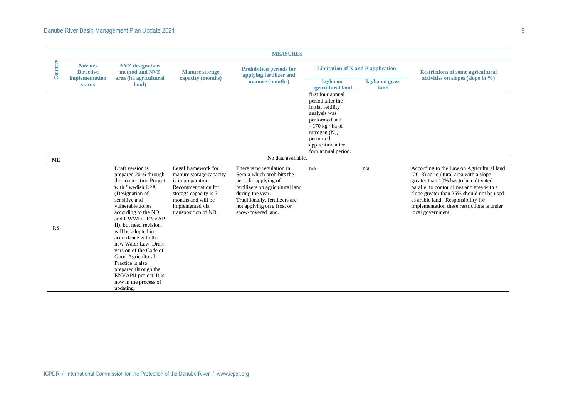|         |                                                                 |                                                                                                                                                                                                                                                                                                                                                                                                                                                        |                                                                                                                                                                                      | <b>MEASURES</b>                                                                                                                                                                                                               |                                                                                                                                                                                           |                        |                                                                                                                                                                                                                                                                                                                                |
|---------|-----------------------------------------------------------------|--------------------------------------------------------------------------------------------------------------------------------------------------------------------------------------------------------------------------------------------------------------------------------------------------------------------------------------------------------------------------------------------------------------------------------------------------------|--------------------------------------------------------------------------------------------------------------------------------------------------------------------------------------|-------------------------------------------------------------------------------------------------------------------------------------------------------------------------------------------------------------------------------|-------------------------------------------------------------------------------------------------------------------------------------------------------------------------------------------|------------------------|--------------------------------------------------------------------------------------------------------------------------------------------------------------------------------------------------------------------------------------------------------------------------------------------------------------------------------|
| Country | <b>Nitrates</b><br><b>Directive</b><br>implementation<br>status | <b>NVZ</b> designation<br>method and NVZ<br>area (ha agricultural<br>land)                                                                                                                                                                                                                                                                                                                                                                             | <b>Manure storage</b><br>capacity (months)                                                                                                                                           | <b>Prohibition periods for</b><br>applying fertilizer and                                                                                                                                                                     | <b>Limitation of N and P application</b>                                                                                                                                                  |                        | <b>Restrictions of some agricultural</b>                                                                                                                                                                                                                                                                                       |
|         |                                                                 |                                                                                                                                                                                                                                                                                                                                                                                                                                                        |                                                                                                                                                                                      | manure (months)                                                                                                                                                                                                               | kg/ha on<br>agricultural land                                                                                                                                                             | kg/ha on grass<br>land | activities on slopes (slope in $\%$ )                                                                                                                                                                                                                                                                                          |
|         |                                                                 |                                                                                                                                                                                                                                                                                                                                                                                                                                                        |                                                                                                                                                                                      |                                                                                                                                                                                                                               | first four annual<br>period after the<br>initial fertility<br>analysis was<br>performed and<br>- 170 kg / ha of<br>nitrogen (N),<br>permitted<br>application after<br>four annual period. |                        |                                                                                                                                                                                                                                                                                                                                |
| ME      |                                                                 |                                                                                                                                                                                                                                                                                                                                                                                                                                                        |                                                                                                                                                                                      | No data available.                                                                                                                                                                                                            |                                                                                                                                                                                           |                        |                                                                                                                                                                                                                                                                                                                                |
| RS      |                                                                 | Draft version is<br>prepared 2016 through<br>the cooperation Project<br>with Swedish EPA<br>(Designation of<br>sensitive and<br>vulnerable zones<br>according to the ND<br>and UWWD - ENVAP<br>II), but need revision,<br>will be adopted in<br>accordance with the<br>new Water Law. Draft<br>version of the Code of<br>Good Agricultural<br>Practice is also<br>prepared through the<br>ENVAPII project. It is<br>now in the process of<br>updating. | Legal framework for<br>manure storage capacity<br>is in preparation.<br>Recommendation for<br>storage capacity is 6<br>months and will be<br>implemented via<br>transposition of ND. | There is no regulation in<br>Serbia which prohibits the<br>periodic applying of<br>fertilizers on agricultural land<br>during the year.<br>Traditionally, fertilizers are<br>not applying on a frost or<br>snow-covered land. | n/a                                                                                                                                                                                       | n/a                    | According to the Law on Agricultural land<br>(2018) agricultural area with a slope<br>greater than 10% has to be cultivated<br>parallel to contour lines and area with a<br>slope greater than 25% should not be used<br>as arable land. Responsibility for<br>implementation these restrictions is under<br>local government. |
|         |                                                                 |                                                                                                                                                                                                                                                                                                                                                                                                                                                        | CPDR / International Commission for the Protection of the Danube River / www.icpdr.org                                                                                               |                                                                                                                                                                                                                               |                                                                                                                                                                                           |                        |                                                                                                                                                                                                                                                                                                                                |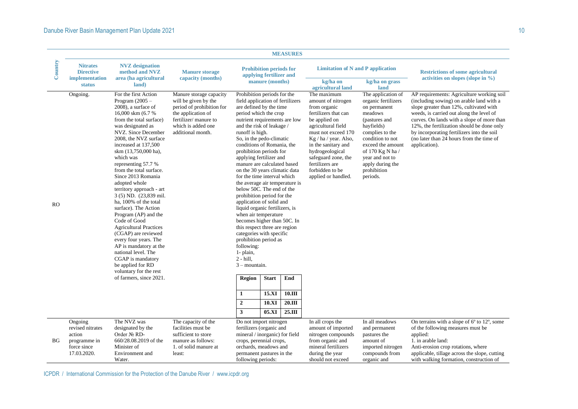|           |                                                                        |                                                                                                                                                                                                                                                                                                                                                                                                                                                                                                                                                                                                                                                                                                                              |                                                                                                                                                                        |                                                                                                                                                                                                                                                                                                                                                                                                                                                                                                                                                                                                                                                                                                                                                                                                                                                                           |                                                | <b>MEASURES</b>                                             |                                                                                                                                                                                                                                                                                                |                                                                                                                                                                                                                                                       |                                                                                                                                                                                                                                                                                                                                                                                     |
|-----------|------------------------------------------------------------------------|------------------------------------------------------------------------------------------------------------------------------------------------------------------------------------------------------------------------------------------------------------------------------------------------------------------------------------------------------------------------------------------------------------------------------------------------------------------------------------------------------------------------------------------------------------------------------------------------------------------------------------------------------------------------------------------------------------------------------|------------------------------------------------------------------------------------------------------------------------------------------------------------------------|---------------------------------------------------------------------------------------------------------------------------------------------------------------------------------------------------------------------------------------------------------------------------------------------------------------------------------------------------------------------------------------------------------------------------------------------------------------------------------------------------------------------------------------------------------------------------------------------------------------------------------------------------------------------------------------------------------------------------------------------------------------------------------------------------------------------------------------------------------------------------|------------------------------------------------|-------------------------------------------------------------|------------------------------------------------------------------------------------------------------------------------------------------------------------------------------------------------------------------------------------------------------------------------------------------------|-------------------------------------------------------------------------------------------------------------------------------------------------------------------------------------------------------------------------------------------------------|-------------------------------------------------------------------------------------------------------------------------------------------------------------------------------------------------------------------------------------------------------------------------------------------------------------------------------------------------------------------------------------|
| Country   | <b>Nitrates</b><br><b>Directive</b><br>implementation<br><b>status</b> | <b>NVZ</b> designation<br>method and NVZ<br>area (ha agricultural<br>land)                                                                                                                                                                                                                                                                                                                                                                                                                                                                                                                                                                                                                                                   | <b>Manure storage</b><br>capacity (months)                                                                                                                             | <b>Prohibition periods for</b><br>applying fertilizer and<br>manure (months)                                                                                                                                                                                                                                                                                                                                                                                                                                                                                                                                                                                                                                                                                                                                                                                              |                                                |                                                             | <b>Limitation of N and P application</b><br>kg/ha on<br>agricultural land                                                                                                                                                                                                                      | kg/ha on grass<br>land                                                                                                                                                                                                                                | <b>Restrictions of some agricultural</b><br>activities on slopes (slope in $\%$ )                                                                                                                                                                                                                                                                                                   |
| <b>RO</b> | Ongoing.                                                               | For the first Action<br>Program $(2005 -$<br>2008), a surface of<br>16,000 skm (6.7 %)<br>from the total surface)<br>was designated as<br>NVZ. Since December<br>2008, the NVZ surface<br>increased at 137,500<br>skm (13,750,000 ha),<br>which was<br>representing 57.7 %<br>from the total surface.<br>Since 2013 Romania<br>adopted whole<br>territory approach - art<br>3 (5) ND. (23,839 mil.<br>ha, 100% of the total<br>surface). The Action<br>Program (AP) and the<br>Code of Good<br><b>Agricultural Practices</b><br>(CGAP) are reviewed<br>every four years. The<br>AP is mandatory at the<br>national level. The<br>CGAP is mandatory<br>be applied for RD<br>voluntary for the rest<br>of farmers, since 2021. | Manure storage capacity<br>will be given by the<br>period of prohibition for<br>the application of<br>fertilizer/ manure to<br>which is added one<br>additional month. | Prohibition periods for the<br>field application of fertilizers<br>are defined by the time<br>period which the crop<br>nutrient requirements are low<br>and the risk of leakage /<br>runoff is high.<br>So, in the pedo-climatic<br>conditions of Romania, the<br>prohibition periods for<br>applying fertilizer and<br>manure are calculated based<br>on the 30 years climatic data<br>for the time interval which<br>the average air temperature is<br>below 50C. The end of the<br>prohibition period for the<br>application of solid and<br>liquid organic fertilizers, is<br>when air temperature<br>becomes higher than 50C. In<br>this respect three are region<br>categories with specific<br>prohibition period as<br>following:<br>1- plain,<br>$2 - hill$ ,<br>$3$ – mountain.<br><b>Region</b><br>$\mathbf{1}$<br>$\boldsymbol{2}$<br>$\overline{\mathbf{3}}$ | <b>Start</b><br>15.XI<br><b>10.XI</b><br>05.XI | End<br>10.III<br>20.III<br>25.III                           | The maximum<br>amount of nitrogen<br>from organic<br>fertilizers that can<br>be applied on<br>agricultural field<br>must not exceed 170<br>Kg / ha / year. Also,<br>in the sanitary and<br>hydrogeological<br>safeguard zone, the<br>fertilizers are<br>forbidden to be<br>applied or handled. | The application of<br>organic fertilizers<br>on permanent<br>meadows<br>(pastures and<br>hayfields)<br>complies to the<br>condition to not<br>exceed the amount<br>of 170 Kg N ha /<br>year and not to<br>apply during the<br>prohibition<br>periods. | AP requirements: Agriculture working soil<br>(including sowing) on arable land with a<br>slope greater than 12%, cultivated with<br>weeds, is carried out along the level of<br>curves. On lands with a slope of more than<br>12%, the fertilization should be done only<br>by incorporating fertilizers into the soil<br>(no later than 24 hours from the time of<br>application). |
|           | Ongoing<br>revised nitrates                                            | The NVZ was<br>designated by the                                                                                                                                                                                                                                                                                                                                                                                                                                                                                                                                                                                                                                                                                             | The capacity of the<br>facilities must be                                                                                                                              | Do not import nitrogen<br>fertilizers (organic and                                                                                                                                                                                                                                                                                                                                                                                                                                                                                                                                                                                                                                                                                                                                                                                                                        |                                                |                                                             | In all crops the<br>amount of imported                                                                                                                                                                                                                                                         | In all meadows<br>and permanent                                                                                                                                                                                                                       | On terrains with a slope of 6° to 12°, some<br>of the following measures must be                                                                                                                                                                                                                                                                                                    |
| <b>BG</b> | action<br>programme in                                                 | Order No RD-<br>660/28.08.2019 of the                                                                                                                                                                                                                                                                                                                                                                                                                                                                                                                                                                                                                                                                                        | sufficient to store<br>manure as follows:                                                                                                                              | mineral / inorganic) for field<br>crops, perennial crops,                                                                                                                                                                                                                                                                                                                                                                                                                                                                                                                                                                                                                                                                                                                                                                                                                 |                                                |                                                             | nitrogen compounds<br>from organic and                                                                                                                                                                                                                                                         | pastures the<br>amount of                                                                                                                                                                                                                             | applied:<br>1. in arable land:                                                                                                                                                                                                                                                                                                                                                      |
|           | force since<br>17.03.2020.                                             | Minister of<br>Environment and<br>Water.                                                                                                                                                                                                                                                                                                                                                                                                                                                                                                                                                                                                                                                                                     | 1. of solid manure at<br>least:                                                                                                                                        | orchards, meadows and<br>permanent pastures in the<br>following periods:                                                                                                                                                                                                                                                                                                                                                                                                                                                                                                                                                                                                                                                                                                                                                                                                  |                                                | mineral fertilizers<br>during the year<br>should not exceed | imported nitrogen<br>compounds from<br>organic and                                                                                                                                                                                                                                             | Anti-erosion crop rotations, where<br>applicable, tillage across the slope, cutting<br>with walking formation, construction of                                                                                                                        |                                                                                                                                                                                                                                                                                                                                                                                     |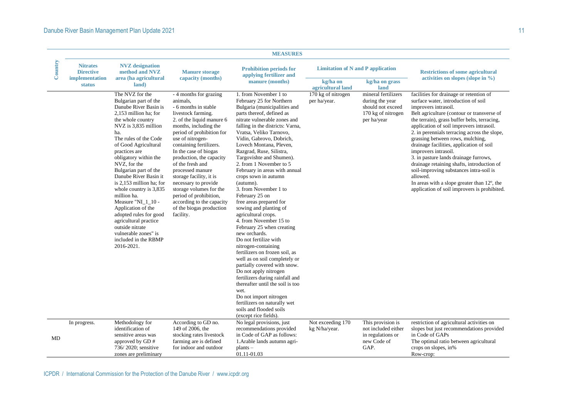| Country | <b>Nitrates</b><br><b>Directive</b> | <b>NVZ</b> designation<br>method and NVZ                                                                                                                                                                                                                                                                                                                                                                                                                                                                                                                         | <b>Manure storage</b>                                                                                                                                                                                                                                                                                                                                                                                                                                                                         | <b>Prohibition periods for</b><br>applying fertilizer and                                                                                                                                                                                                                                                                                                                                                                                                                                                                                                                                                                                                                                                                                                                                                                                                                                                                                                                                             | <b>Limitation of N and P application</b>                |                                                                                                  | <b>Restrictions of some agricultural</b>                                                                                                                                                                                                                                                                                                                                                                                                                                                                                                                                                                                                              |
|---------|-------------------------------------|------------------------------------------------------------------------------------------------------------------------------------------------------------------------------------------------------------------------------------------------------------------------------------------------------------------------------------------------------------------------------------------------------------------------------------------------------------------------------------------------------------------------------------------------------------------|-----------------------------------------------------------------------------------------------------------------------------------------------------------------------------------------------------------------------------------------------------------------------------------------------------------------------------------------------------------------------------------------------------------------------------------------------------------------------------------------------|-------------------------------------------------------------------------------------------------------------------------------------------------------------------------------------------------------------------------------------------------------------------------------------------------------------------------------------------------------------------------------------------------------------------------------------------------------------------------------------------------------------------------------------------------------------------------------------------------------------------------------------------------------------------------------------------------------------------------------------------------------------------------------------------------------------------------------------------------------------------------------------------------------------------------------------------------------------------------------------------------------|---------------------------------------------------------|--------------------------------------------------------------------------------------------------|-------------------------------------------------------------------------------------------------------------------------------------------------------------------------------------------------------------------------------------------------------------------------------------------------------------------------------------------------------------------------------------------------------------------------------------------------------------------------------------------------------------------------------------------------------------------------------------------------------------------------------------------------------|
|         | implementation<br><b>status</b>     | area (ha agricultural<br>land)                                                                                                                                                                                                                                                                                                                                                                                                                                                                                                                                   | capacity (months)                                                                                                                                                                                                                                                                                                                                                                                                                                                                             | manure (months)                                                                                                                                                                                                                                                                                                                                                                                                                                                                                                                                                                                                                                                                                                                                                                                                                                                                                                                                                                                       | kg/ha on<br>kg/ha on grass<br>agricultural land<br>land |                                                                                                  | activities on slopes (slope in $\%$ )                                                                                                                                                                                                                                                                                                                                                                                                                                                                                                                                                                                                                 |
|         |                                     | The NVZ for the<br>Bulgarian part of the<br>Danube River Basin is<br>2,153 million ha; for<br>the whole country<br>NVZ is 3,835 million<br>ha.<br>The rules of the Code<br>of Good Agricultural<br>practices are<br>obligatory within the<br>NVZ, for the<br>Bulgarian part of the<br>Danube River Basin it<br>is 2,153 million ha; for<br>whole country is 3,835<br>million ha.<br>Measure "NI_1_10 -<br>Application of the<br>adopted rules for good<br>agricultural practice<br>outside nitrate<br>vulnerable zones" is<br>included in the RBMP<br>2016-2021. | - 4 months for grazing<br>animals,<br>- 6 months in stable<br>livestock farming.<br>2. of the liquid manure 6<br>months, including the<br>period of prohibition for<br>use of nitrogen-<br>containing fertilizers.<br>In the case of biogas<br>production, the capacity<br>of the fresh and<br>processed manure<br>storage facility, it is<br>necessary to provide<br>storage volumes for the<br>period of prohibition,<br>according to the capacity<br>of the biogas production<br>facility. | 1. from November 1 to<br>February 25 for Northern<br>Bulgaria (municipalities and<br>parts thereof, defined as<br>nitrate vulnerable zones and<br>falling in the districts: Varna,<br>Vratsa, Veliko Tarnovo,<br>Vidin, Gabrovo, Dobrich,<br>Lovech Montana, Pleven,<br>Razgrad, Ruse, Silistra,<br>Targovishte and Shumen).<br>2. from 1 November to 5<br>February in areas with annual<br>crops sown in autumn<br>(autumn).<br>3. from November 1 to<br>February 25 on<br>free areas prepared for<br>sowing and planting of<br>agricultural crops.<br>4. from November 15 to<br>February 25 when creating<br>new orchards.<br>Do not fertilize with<br>nitrogen-containing<br>fertilizers on frozen soil, as<br>well as on soil completely or<br>partially covered with snow.<br>Do not apply nitrogen<br>fertilizers during rainfall and<br>thereafter until the soil is too<br>wet.<br>Do not import nitrogen<br>fertilizers on naturally wet<br>soils and flooded soils<br>(except rice fields). | 170 kg of nitrogen<br>per ha/year.                      | mineral fertilizers<br>during the year<br>should not exceed<br>170 kg of nitrogen<br>per ha/year | facilities for drainage or retention of<br>surface water, introduction of soil<br>improvers intrasoil.<br>Belt agriculture (contour or transverse of<br>the terrain), grass buffer belts, terracing,<br>application of soil improvers intrasoil.<br>2. in perennials terracing across the slope,<br>grassing between rows, mulching,<br>drainage facilities, application of soil<br>improvers intrasoil.<br>3. in pasture lands drainage furrows,<br>drainage retaining shafts, introduction of<br>soil-improving substances intra-soil is<br>allowed.<br>In areas with a slope greater than 12°, the<br>application of soil improvers is prohibited. |
| MD      | In progress.                        | Methodology for<br>identification of<br>sensitive areas was<br>approved by GD#<br>736/2020; sensitive<br>zones are preliminary                                                                                                                                                                                                                                                                                                                                                                                                                                   | According to GD no.<br>149 of 2006, the<br>stocking rates livestock<br>farming are is defined<br>for indoor and outdoor                                                                                                                                                                                                                                                                                                                                                                       | No legal provisions, just<br>recommendations provided<br>in Code of GAP as follows:<br>1. Arable lands autumn agri-<br>$plants -$<br>01.11-01.03                                                                                                                                                                                                                                                                                                                                                                                                                                                                                                                                                                                                                                                                                                                                                                                                                                                      | Not exceeding 170<br>kg N/ha/year.                      | This provision is<br>not included either<br>in regulations or<br>new Code of<br>GAP.             | restriction of agricultural activities on<br>slopes but just recommendations provided<br>in Code of GAPs<br>The optimal ratio between agricultural<br>crops on slopes, in%<br>Row-crop:                                                                                                                                                                                                                                                                                                                                                                                                                                                               |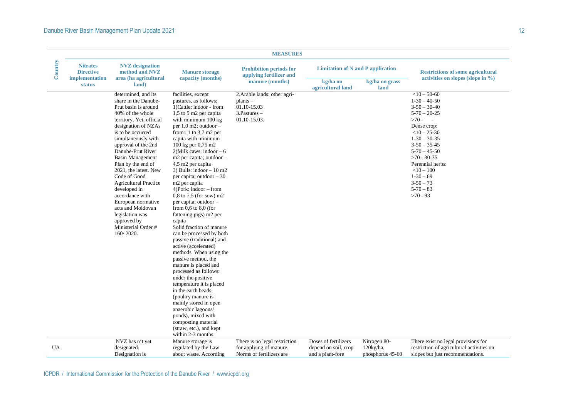| Country | <b>Nitrates</b><br><b>Directive</b> | <b>NVZ</b> designation<br>method and NVZ                                                                                                                                                                                                                                                                                                                                                                                                                                                                         | <b>Manure storage</b>                                                                                                                                                                                                                                                                                                                                                                                                                                                                                                                                                                                                                                                                                                                                                                                                                                                                                                                                                                                                 | <b>Prohibition periods for</b><br>applying fertilizer and                                   | <b>Limitation of N and P application</b>                         |                                                  | <b>Restrictions of some agricultural</b>                                                                                                                                                                                                                                               |  |
|---------|-------------------------------------|------------------------------------------------------------------------------------------------------------------------------------------------------------------------------------------------------------------------------------------------------------------------------------------------------------------------------------------------------------------------------------------------------------------------------------------------------------------------------------------------------------------|-----------------------------------------------------------------------------------------------------------------------------------------------------------------------------------------------------------------------------------------------------------------------------------------------------------------------------------------------------------------------------------------------------------------------------------------------------------------------------------------------------------------------------------------------------------------------------------------------------------------------------------------------------------------------------------------------------------------------------------------------------------------------------------------------------------------------------------------------------------------------------------------------------------------------------------------------------------------------------------------------------------------------|---------------------------------------------------------------------------------------------|------------------------------------------------------------------|--------------------------------------------------|----------------------------------------------------------------------------------------------------------------------------------------------------------------------------------------------------------------------------------------------------------------------------------------|--|
|         | implementation<br><b>status</b>     | area (ha agricultural<br>land)                                                                                                                                                                                                                                                                                                                                                                                                                                                                                   | capacity (months)                                                                                                                                                                                                                                                                                                                                                                                                                                                                                                                                                                                                                                                                                                                                                                                                                                                                                                                                                                                                     | manure (months)                                                                             | kg/ha on<br>agricultural land                                    | kg/ha on grass<br>land                           | activities on slopes (slope in $\%$ )                                                                                                                                                                                                                                                  |  |
|         |                                     | determined, and its<br>share in the Danube-<br>Prut basin is around<br>40% of the whole<br>territory. Yet, official<br>designation of NZAs<br>is to be occurred<br>simultaneously with<br>approval of the 2nd<br>Danube-Prut River<br><b>Basin Management</b><br>Plan by the end of<br>2021, the latest. New<br>Code of Good<br><b>Agricultural Practice</b><br>developed in<br>accordance with<br>European normative<br>acts and Moldovan<br>legislation was<br>approved by<br>Ministerial Order #<br>160/2020. | facilities, except<br>pastures, as follows:<br>1) Cattle: indoor - from<br>1,5 to 5 m2 per capita<br>with minimum 100 kg<br>per $1,0$ m2; outdoor $-$<br>from $1,1$ to $3,7$ m $2$ per<br>capita with minimum<br>100 kg per 0,75 m2<br>2) Milk caws: indoor $-6$<br>m2 per capita; outdoor -<br>4,5 m2 per capita<br>3) Bulls: indoor $-10$ m2<br>per capita; outdoor $-30$<br>m <sub>2</sub> per capita<br>$4)$ Pork: indoor – from<br>$0,8$ to 7,5 (for sow) m2<br>per capita; outdoor -<br>from $0,6$ to $8,0$ (for<br>fattening pigs) m2 per<br>capita<br>Solid fraction of manure<br>can be processed by both<br>passive (traditional) and<br>active (accelerated)<br>methods. When using the<br>passive method, the<br>manure is placed and<br>processed as follows:<br>under the positive<br>temperature it is placed<br>in the earth beads<br>(poultry manure is<br>mainly stored in open<br>anaerobic lagoons/<br>ponds), mixed with<br>composting material<br>(straw, etc.), and kept<br>within 2-3 months. | 2. Arable lands: other agri-<br>$plants -$<br>01.10-15.03<br>$3.Pastures -$<br>01.10-15.03. |                                                                  |                                                  | $<$ 10 - 50-60<br>$1-30-40-50$<br>$3-50-30-40$<br>$5 - 70 - 20 - 25$<br>$>70-$<br>Dense crop:<br>$<10-25-30$<br>$1-30-30-35$<br>$3-50-35-45$<br>$5 - 70 - 45 - 50$<br>$>70 - 30 - 35$<br>Perennial herbs:<br>$<$ 10 - 100<br>$1-30-69$<br>$3 - 50 - 73$<br>$5 - 70 - 83$<br>$>70 - 93$ |  |
| UA      |                                     | NVZ has n't yet<br>designated.<br>Designation is                                                                                                                                                                                                                                                                                                                                                                                                                                                                 | Manure storage is<br>regulated by the Law<br>about waste. According                                                                                                                                                                                                                                                                                                                                                                                                                                                                                                                                                                                                                                                                                                                                                                                                                                                                                                                                                   | There is no legal restriction<br>for applying of manure.<br>Norms of fertilizers are        | Doses of fertilizers<br>depend on soil, crop<br>and a plant-fore | Nitrogen 80-<br>$120$ kg/ha,<br>phosphorus 45-60 | There exist no legal provisions for<br>restriction of agricultural activities on<br>slopes but just recommendations.                                                                                                                                                                   |  |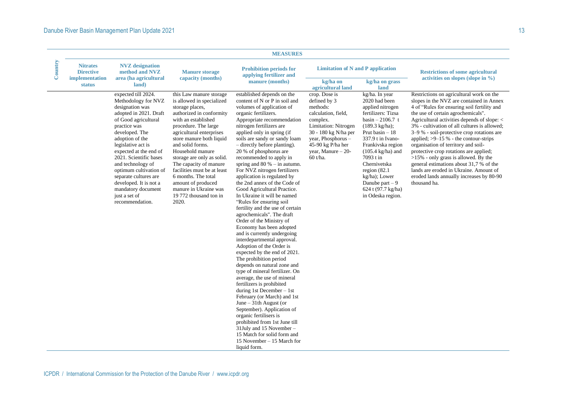| Country | <b>Nitrates</b><br><b>Directive</b><br>implementation | <b>NVZ</b> designation<br>method and NVZ<br>area (ha agricultural                                                                                                                                                                                                                                                                                                                                          | <b>Manure storage</b><br>capacity (months)                                                                                                                                                                                                                                                                                                                                                                                                         | <b>Prohibition periods for</b><br>applying fertilizer and                                                                                                                                                                                                                                                                                                                                                                                                                                                                                                                                                                                                                                                                                                                                                                                                                                                                                                                                                                                                                                                                                                                                                                                                      | <b>Limitation of N and P application</b>                                                                                                                                                                  |                                                                                                                                                                                                                                                                                                                                                           | <b>Restrictions of some agricultural</b><br>activities on slopes (slope in $\%$ )                                                                                                                                                                                                                                                                                                                                                                                                                                                                                                                                                           |
|---------|-------------------------------------------------------|------------------------------------------------------------------------------------------------------------------------------------------------------------------------------------------------------------------------------------------------------------------------------------------------------------------------------------------------------------------------------------------------------------|----------------------------------------------------------------------------------------------------------------------------------------------------------------------------------------------------------------------------------------------------------------------------------------------------------------------------------------------------------------------------------------------------------------------------------------------------|----------------------------------------------------------------------------------------------------------------------------------------------------------------------------------------------------------------------------------------------------------------------------------------------------------------------------------------------------------------------------------------------------------------------------------------------------------------------------------------------------------------------------------------------------------------------------------------------------------------------------------------------------------------------------------------------------------------------------------------------------------------------------------------------------------------------------------------------------------------------------------------------------------------------------------------------------------------------------------------------------------------------------------------------------------------------------------------------------------------------------------------------------------------------------------------------------------------------------------------------------------------|-----------------------------------------------------------------------------------------------------------------------------------------------------------------------------------------------------------|-----------------------------------------------------------------------------------------------------------------------------------------------------------------------------------------------------------------------------------------------------------------------------------------------------------------------------------------------------------|---------------------------------------------------------------------------------------------------------------------------------------------------------------------------------------------------------------------------------------------------------------------------------------------------------------------------------------------------------------------------------------------------------------------------------------------------------------------------------------------------------------------------------------------------------------------------------------------------------------------------------------------|
|         | <b>status</b>                                         | land)                                                                                                                                                                                                                                                                                                                                                                                                      |                                                                                                                                                                                                                                                                                                                                                                                                                                                    | manure (months)                                                                                                                                                                                                                                                                                                                                                                                                                                                                                                                                                                                                                                                                                                                                                                                                                                                                                                                                                                                                                                                                                                                                                                                                                                                | kg/ha on<br>agricultural land                                                                                                                                                                             | kg/ha on grass<br>land                                                                                                                                                                                                                                                                                                                                    |                                                                                                                                                                                                                                                                                                                                                                                                                                                                                                                                                                                                                                             |
|         |                                                       | expected till 2024.<br>Methodology for NVZ<br>designation was<br>adopted in 2021. Draft<br>of Good agricultural<br>practice was<br>developed. The<br>adoption of the<br>legislative act is<br>expected at the end of<br>2021. Scientific bases<br>and technology of<br>optimum cultivation of<br>separate cultures are<br>developed. It is not a<br>mandatory document<br>just a set of<br>recommendation. | this Law manure storage<br>is allowed in specialized<br>storage places,<br>authorized in conformity<br>with an established<br>procedure. The large<br>agricultural enterprises<br>store manure both liquid<br>and solid forms.<br>Household manure<br>storage are only as solid.<br>The capacity of manure<br>facilities must be at least<br>6 months. The total<br>amount of produced<br>manure in Ukraine was<br>19 772 thousand ton in<br>2020. | established depends on the<br>content of N or P in soil and<br>volumes of application of<br>organic fertilizers.<br>Appropriate recommendation<br>nitrogen fertilizers are<br>applied only in spring (if<br>soils are sandy or sandy loam<br>- directly before planting).<br>20 % of phosphorus are<br>recommended to apply in<br>spring and $80\%$ – in autumn.<br>For NVZ nitrogen fertilizers<br>application is regulated by<br>the 2nd annex of the Code of<br>Good Agricultural Practice.<br>In Ukraine it will be named<br>"Rules for ensuring soil<br>fertility and the use of certain<br>agrochemicals". The draft<br>Order of the Ministry of<br>Economy has been adopted<br>and is currently undergoing<br>interdepartmental approval.<br>Adoption of the Order is<br>expected by the end of 2021.<br>The prohibition period<br>depends on natural zone and<br>type of mineral fertilizer. On<br>average, the use of mineral<br>fertilizers is prohibited<br>during 1st December $-1st$<br>February (or March) and 1st<br>June $-31$ th August (or<br>September). Application of<br>organic fertilisers is<br>prohibited from 1st June till<br>31July and 15 November -<br>15 Match for solid form and<br>15 November - 15 March for<br>liquid form. | crop. Dose is<br>defined by 3<br>methods:<br>calculation, field,<br>complex.<br>Limitation: Nitrogen<br>30 - 180 kg N/ha per<br>year, Phosphorus -<br>45-90 kg P/ha her<br>year, Manure - 20-<br>60 t/ha. | kg/ha. In year<br>2020 had been<br>applied nitrogen<br>fertilizers: Tizsa<br>$basin - 2106.7 t$<br>$(189.3 \text{ kg/ha})$ ;<br>Prut basin $-18$<br>337.9 t in Ivano-<br>Frankivska region<br>$(105.4 \text{ kg/ha})$ and<br>7093 t in<br>Chernivetska<br>region $(82.1)$<br>kg/ha); Lower<br>Danube part $-9$<br>624 t (97.7 kg/ha)<br>in Odeska region. | Restrictions on agricultural work on the<br>slopes in the NVZ are contained in Annex<br>4 of "Rules for ensuring soil fertility and<br>the use of certain agrochemicals".<br>Agricultural activities depends of slope: <<br>3% - cultivation of all cultures is allowed;<br>3–9 % - soil-protective crop rotations are<br>applied; $>9-15$ % - the contour-strips<br>organisation of territory and soil-<br>protective crop rotations are applied;<br>>15% - only grass is allowed. By the<br>general estimations about 31,7 % of the<br>lands are eroded in Ukraine. Amount of<br>eroded lands annually increases by 80-90<br>thousand ha. |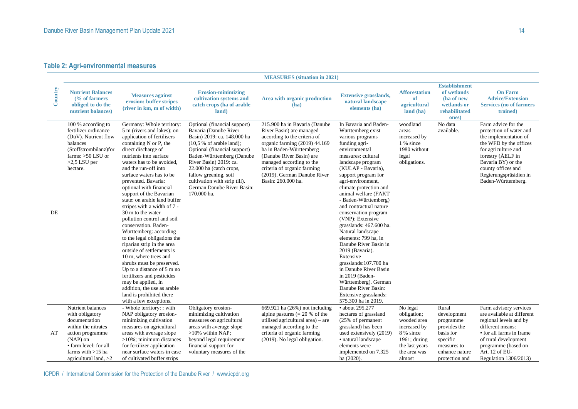### **Table 2: Agri-environmental measures**

|         | <b>MEASURES</b> (situation in 2021)                                                                                                                                                       |                                                                                                                                                                                                                                                                                                                                                                                                                                                                                                                                                                                                                                                                                                                                                                                                                            |                                                                                                                                                                                                                                                                                                                                           |                                                                                                                                                                                                                                                                                                   |                                                                                                                                                                                                                                                                                                                                                                                                                                                                                                                                                                                                                                                                     |                                                                                                                                    |                                                                                                                               |                                                                                                                                                                                                                                           |  |
|---------|-------------------------------------------------------------------------------------------------------------------------------------------------------------------------------------------|----------------------------------------------------------------------------------------------------------------------------------------------------------------------------------------------------------------------------------------------------------------------------------------------------------------------------------------------------------------------------------------------------------------------------------------------------------------------------------------------------------------------------------------------------------------------------------------------------------------------------------------------------------------------------------------------------------------------------------------------------------------------------------------------------------------------------|-------------------------------------------------------------------------------------------------------------------------------------------------------------------------------------------------------------------------------------------------------------------------------------------------------------------------------------------|---------------------------------------------------------------------------------------------------------------------------------------------------------------------------------------------------------------------------------------------------------------------------------------------------|---------------------------------------------------------------------------------------------------------------------------------------------------------------------------------------------------------------------------------------------------------------------------------------------------------------------------------------------------------------------------------------------------------------------------------------------------------------------------------------------------------------------------------------------------------------------------------------------------------------------------------------------------------------------|------------------------------------------------------------------------------------------------------------------------------------|-------------------------------------------------------------------------------------------------------------------------------|-------------------------------------------------------------------------------------------------------------------------------------------------------------------------------------------------------------------------------------------|--|
| Country | <b>Nutrient Balances</b><br>$\frac{6}{6}$ of farmers<br>obliged to do the<br>nutrient balances)                                                                                           | <b>Measures against</b><br>erosion: buffer stripes<br>(river in km, m of width)                                                                                                                                                                                                                                                                                                                                                                                                                                                                                                                                                                                                                                                                                                                                            | <b>Erosion-minimizing</b><br>cultivation systems and<br>catch crops (ha of arable<br>land)                                                                                                                                                                                                                                                | Area with organic production<br>(ha)                                                                                                                                                                                                                                                              | <b>Extensive grasslands,</b><br>natural landscape<br>elements (ha)                                                                                                                                                                                                                                                                                                                                                                                                                                                                                                                                                                                                  | <b>Afforestation</b><br>of<br>agricultural<br>land (ha)                                                                            | <b>Establishment</b><br>of wetlands<br>(ha of new<br>wetlands or<br>rehabilitated<br>ones)                                    | <b>On Farm</b><br><b>Advice/Extension</b><br><b>Services</b> (no of farmers<br>trained)                                                                                                                                                   |  |
| DE      | 100 % according to<br>fertilizer ordinance<br>(DüV). Nutrient flow<br>balances<br>(Stoffstrombilanz)for<br>farms: $>50$ LSU or<br>$>2.5$ LSU per<br>hectare.                              | Germany: Whole territory:<br>5 m (rivers and lakes); on<br>application of fertilisers<br>containing N or P, the<br>direct discharge of<br>nutrients into surface<br>waters has to be avoided,<br>and the run-off into<br>surface waters has to be<br>prevented. Bavaria:<br>optional with financial<br>support of the Bavarian<br>state: on arable land buffer<br>stripes with a width of 7 -<br>30 m to the water<br>pollution control and soil<br>conservation. Baden-<br>Württemberg: according<br>to the legal obligations the<br>riparian strip in the area<br>outside of settlements is<br>10 m, where trees and<br>shrubs must be preserved.<br>Up to a distance of 5 m no<br>fertilizers and pesticides<br>may be applied, in<br>addition, the use as arable<br>land is prohibited there<br>with a few exceptions. | Optional (financial support)<br>Bavaria (Danube River<br>Basin) 2019: ca. 148.000 ha<br>(10.5 % of arable land);<br>Optional (financial support)<br>Baden-Württemberg (Danube<br>River Basin) 2019: ca.<br>22.000 ha (catch crops,<br>fallow greening, soil<br>cultivation with strip till).<br>German Danube River Basin:<br>170.000 ha. | 215.900 ha in Bavaria (Danube<br>River Basin) are managed<br>according to the criteria of<br>organic farming (2019) 44.169<br>ha in Baden-Württemberg<br>(Danube River Basin) are<br>managed according to the<br>criteria of organic farming<br>(2019). German Danube River<br>Basin: 260.000 ha. | In Bavaria and Baden-<br>Württemberg exist<br>various programs<br>funding agri-<br>environmental<br>measures: cultural<br>landscape program<br>(KULAP - Bavaria),<br>support program for<br>agri-environment,<br>climate protection and<br>animal welfare (FAKT<br>- Baden-Württemberg)<br>and contractual nature<br>conservation program<br>(VNP): Extensive<br>grasslands: 467.600 ha.<br>Natural landscape<br>elements: 799 ha, in<br>Danube River Basin in<br>2019 (Bavaria).<br>Extensive<br>grasslands: 107.700 ha<br>in Danube River Basin<br>in 2019 (Baden-<br>Württemberg). German<br>Danube River Basin:<br>Extensive grasslands:<br>575.300 ha in 2019. | woodland<br>areas<br>increased by<br>1 % since<br>1980 without<br>legal<br>obligations.                                            | No data<br>available.                                                                                                         | Farm advice for the<br>protection of water and<br>the implementation of<br>the WFD by the offices<br>for agriculture and<br>forestry (AELF in<br>Bavaria BY) or the<br>county offices and<br>Regierungspräsidien in<br>Baden-Württemberg. |  |
| AT      | Nutrient balances<br>with obligatory<br>documentation<br>within the nitrates<br>action programme<br>$(NAP)$ on<br>• farm level: for all<br>farms with $>15$ ha<br>agricultural land, $>2$ | - Whole territory: : with<br>NAP obligatory erosion-<br>minimizing cultivation<br>measures on agricultural<br>areas with average slope<br>$>10\%$ ; minimum distances<br>for fertilizer application<br>near surface waters in case<br>of cultivated buffer strips                                                                                                                                                                                                                                                                                                                                                                                                                                                                                                                                                          | Obligatory erosion-<br>minimizing cultivation<br>measures on agricultural<br>areas with average slope<br>$>10\%$ within NAP;<br>beyond legal requirement<br>financial support for<br>voluntary measures of the                                                                                                                            | 669.921 ha (26%) not including<br>alpine pastures $(= 20 %$ of the<br>utilised agricultural area) – are<br>managed according to the<br>criteria of organic farming<br>(2019). No legal obligation.                                                                                                | • about 295.277<br>hectares of grassland<br>(25% of permanent<br>grassland) has been<br>used extensively (2019)<br>• natural landscape<br>elements were<br>implemented on 7.325<br>ha (2020).                                                                                                                                                                                                                                                                                                                                                                                                                                                                       | No legal<br>obligation;<br>wooded area<br>increased by<br>8 % since<br>$1961$ ; during<br>the last years<br>the area was<br>almost | Rural<br>development<br>programme<br>provides the<br>basis for<br>specific<br>measures to<br>enhance nature<br>protection and | Farm advisory services<br>are available at different<br>regional levels and by<br>different means:<br>• for all farms in frame<br>of rural development<br>programme (based on<br>Art. 12 of EU-<br>Regulation 1306/2013)                  |  |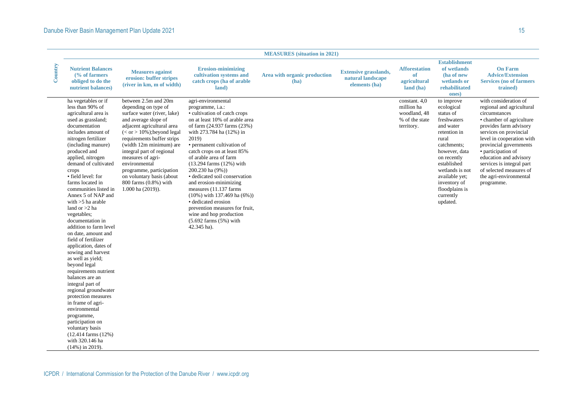|         |                                                                                                                                                                                                                                                                                                                                                                                                                                                                                                                                                                                                                                                                                                                                                                                                                                                                         |                                                                                                                                                                                                                                                                                                                                                                                                             |                                                                                                                                                                                                                                                                                                                                                                                                                                                                                                                                                                                                            | <b>MEASURES</b> (situation in 2021)  |                                                                    |                                                                             |                                                                                                                                                                                                                                                          |                                                                                                                                                                                                                                                                                                                                                            |
|---------|-------------------------------------------------------------------------------------------------------------------------------------------------------------------------------------------------------------------------------------------------------------------------------------------------------------------------------------------------------------------------------------------------------------------------------------------------------------------------------------------------------------------------------------------------------------------------------------------------------------------------------------------------------------------------------------------------------------------------------------------------------------------------------------------------------------------------------------------------------------------------|-------------------------------------------------------------------------------------------------------------------------------------------------------------------------------------------------------------------------------------------------------------------------------------------------------------------------------------------------------------------------------------------------------------|------------------------------------------------------------------------------------------------------------------------------------------------------------------------------------------------------------------------------------------------------------------------------------------------------------------------------------------------------------------------------------------------------------------------------------------------------------------------------------------------------------------------------------------------------------------------------------------------------------|--------------------------------------|--------------------------------------------------------------------|-----------------------------------------------------------------------------|----------------------------------------------------------------------------------------------------------------------------------------------------------------------------------------------------------------------------------------------------------|------------------------------------------------------------------------------------------------------------------------------------------------------------------------------------------------------------------------------------------------------------------------------------------------------------------------------------------------------------|
| Country | <b>Nutrient Balances</b><br>$\frac{6}{6}$ of farmers<br>obliged to do the<br>nutrient balances)                                                                                                                                                                                                                                                                                                                                                                                                                                                                                                                                                                                                                                                                                                                                                                         | <b>Measures against</b><br>erosion: buffer stripes<br>(river in km, m of width)                                                                                                                                                                                                                                                                                                                             | <b>Erosion-minimizing</b><br>cultivation systems and<br>catch crops (ha of arable<br>land)                                                                                                                                                                                                                                                                                                                                                                                                                                                                                                                 | Area with organic production<br>(ha) | <b>Extensive grasslands,</b><br>natural landscape<br>elements (ha) | <b>Afforestation</b><br>of<br>agricultural<br>land (ha)                     | <b>Establishment</b><br>of wetlands<br>(ha of new<br>wetlands or<br>rehabilitated<br>ones)                                                                                                                                                               | <b>On Farm</b><br><b>Advice/Extension</b><br><b>Services (no of farmers)</b><br>trained)                                                                                                                                                                                                                                                                   |
|         | ha vegetables or if<br>less than 90% of<br>agricultural area is<br>used as grassland;<br>documentation<br>includes amount of<br>nitrogen fertilizer<br>(including manure)<br>produced and<br>applied, nitrogen<br>demand of cultivated<br>crops<br>• field level: for<br>farms located in<br>communities listed in<br>Annex 5 of NAP and<br>with $>5$ ha arable<br>land or $>2$ ha<br>vegetables;<br>documentation in<br>addition to farm level<br>on date, amount and<br>field of fertilizer<br>application, dates of<br>sowing and harvest<br>as well as yield;<br>beyond legal<br>requirements nutrient<br>balances are an<br>integral part of<br>regional groundwater<br>protection measures<br>in frame of agri-<br>environmental<br>programme,<br>participation on<br>voluntary basis<br>$(12.414 \text{ farms } (12\%)$<br>with 320.146 ha<br>$(14\%)$ in 2019). | between 2.5m and 20m<br>depending on type of<br>surface water (river, lake)<br>and average slope of<br>adjacent agricultural area<br>$(<$ or $>$ 10%); beyond legal<br>requirements buffer strips<br>(width 12m minimum) are<br>integral part of regional<br>measures of agri-<br>environmental<br>programme, participation<br>on voluntary basis (about<br>800 farms (0.8%) with<br>$1.000$ ha $(2019)$ ). | agri-environmental<br>programme, <i>i.a.</i> :<br>• cultivation of catch crops<br>on at least 10% of arable area<br>of farm (24.937 farms (23%)<br>with 273.784 ha (12%) in<br>2019)<br>• permanent cultivation of<br>catch crops on at least 85%<br>of arable area of farm<br>$(13.294 \text{ farms } (12\%) \text{ with}$<br>200.230 ha (9%))<br>· dedicated soil conservation<br>and erosion-minimizing<br>measures (11.137 farms)<br>$(10\%)$ with 137.469 ha $(6\%)$<br>• dedicated erosion<br>prevention measures for fruit,<br>wine and hop production<br>$(5.692$ farms $(5%)$ with<br>42.345 ha). |                                      |                                                                    | constant. 4,0<br>million ha<br>woodland, 48<br>% of the state<br>territory. | to improve<br>ecological<br>status of<br>freshwaters<br>and water<br>retention in<br>rural<br>catchments;<br>however, data<br>on recently<br>established<br>wetlands is not<br>available yet;<br>inventory of<br>floodplains is<br>currently<br>updated. | with consideration of<br>regional and agricultural<br>circumstances<br>• chamber of agriculture<br>provides farm advisory<br>services on provincial<br>level in cooperation with<br>provincial governments<br>• participation of<br>education and advisory<br>services is integral part<br>of selected measures of<br>the agri-environmental<br>programme. |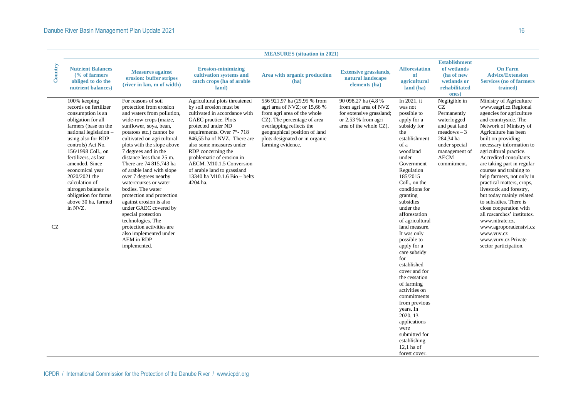|         |                                                                                                                                                                                                                                                                                                                                                                                      |                                                                                                                                                                                                                                                                                                                                                                                                                                                                                                                                                                                                                                     |                                                                                                                                                                                                                                                                                                                                                                                           | <b>MEASURES</b> (situation in 2021)                                                                                                                                                                                                           |                                                                                                                             |                                                                                                                                                                                                                                                                                                                                                                                                                                                                                                                                                                                                       |                                                                                                                                                                  |                                                                                                                                                                                                                                                                                                                                                                                                                                                                                                                                                                                                                                      |
|---------|--------------------------------------------------------------------------------------------------------------------------------------------------------------------------------------------------------------------------------------------------------------------------------------------------------------------------------------------------------------------------------------|-------------------------------------------------------------------------------------------------------------------------------------------------------------------------------------------------------------------------------------------------------------------------------------------------------------------------------------------------------------------------------------------------------------------------------------------------------------------------------------------------------------------------------------------------------------------------------------------------------------------------------------|-------------------------------------------------------------------------------------------------------------------------------------------------------------------------------------------------------------------------------------------------------------------------------------------------------------------------------------------------------------------------------------------|-----------------------------------------------------------------------------------------------------------------------------------------------------------------------------------------------------------------------------------------------|-----------------------------------------------------------------------------------------------------------------------------|-------------------------------------------------------------------------------------------------------------------------------------------------------------------------------------------------------------------------------------------------------------------------------------------------------------------------------------------------------------------------------------------------------------------------------------------------------------------------------------------------------------------------------------------------------------------------------------------------------|------------------------------------------------------------------------------------------------------------------------------------------------------------------|--------------------------------------------------------------------------------------------------------------------------------------------------------------------------------------------------------------------------------------------------------------------------------------------------------------------------------------------------------------------------------------------------------------------------------------------------------------------------------------------------------------------------------------------------------------------------------------------------------------------------------------|
| Country | <b>Nutrient Balances</b><br>$\frac{6}{6}$ of farmers<br>obliged to do the<br>nutrient balances)                                                                                                                                                                                                                                                                                      | <b>Measures against</b><br>erosion: buffer stripes<br>(river in km, m of width)                                                                                                                                                                                                                                                                                                                                                                                                                                                                                                                                                     | <b>Erosion-minimizing</b><br>cultivation systems and<br>catch crops (ha of arable<br>land)                                                                                                                                                                                                                                                                                                | Area with organic production<br>(ha)                                                                                                                                                                                                          | <b>Extensive grasslands,</b><br>natural landscape<br>elements (ha)                                                          | <b>Afforestation</b><br>of<br>agricultural<br>land (ha)                                                                                                                                                                                                                                                                                                                                                                                                                                                                                                                                               | <b>Establishment</b><br>of wetlands<br>(ha of new<br>wetlands or<br>rehabilitated<br>ones)                                                                       | <b>On Farm</b><br><b>Advice/Extension</b><br><b>Services</b> (no of farmers)<br>trained)                                                                                                                                                                                                                                                                                                                                                                                                                                                                                                                                             |
| CZ      | 100% keeping<br>records on fertilizer<br>consumption is an<br>obligation for all<br>farmers (base on the<br>national legislation -<br>using also for RDP<br>controls) Act No.<br>156/1998 Coll., on<br>fertilizers, as last<br>amended. Since<br>economical year<br>2020/2021 the<br>calculation of<br>nitrogen balance is<br>obligation for farms<br>above 30 ha, farmed<br>in NVZ. | For reasons of soil<br>protection from erosion<br>and waters from pollution,<br>wide-row crops (maize,<br>sunflower, soya, bean,<br>potatoes etc.) cannot be<br>cultivated on agricultural<br>plots with the slope above<br>7 degrees and in the<br>distance less than 25 m.<br>There are 74 815,743 ha<br>of arable land with slope<br>over 7 degrees nearby<br>watercourses or water<br>bodies. The water<br>protection and protection<br>against erosion is also<br>under GAEC covered by<br>special protection<br>technologies. The<br>protection activities are<br>also implemented under<br><b>AEM</b> in RDP<br>implemented. | Agricultural plots threatened<br>by soil erosion must be<br>cultivated in accordance with<br>GAEC practice. Plots<br>protected under ND<br>requirements. Over 7°-718<br>846.55 ha of NVZ. There are<br>also some measures under<br>RDP concerning the<br>problematic of erosion in<br>AECM. M10.1.5 Conversion<br>of arable land to grassland<br>13340 ha M10.1.6 Bio - belts<br>4204 ha. | 556 921,97 ha (29,95 % from<br>agri area of NVZ; or 15,66 %<br>from agri area of the whole<br>CZ). The percentage of area<br>overlapping reflects the<br>geographical position of land<br>plots designated or in organic<br>farming evidence. | 90 098,27 ha (4,8 %)<br>from agri area of NVZ<br>for extensive grassland;<br>or $2.53%$ from agri<br>area of the whole CZ). | In 2021, it<br>was not<br>possible to<br>apply for a<br>subsidy for<br>the<br>establishment<br>of a<br>woodland<br>under<br>Government<br>Regulation<br>185/2015<br>Coll., on the<br>conditions for<br>granting<br>subsidies<br>under the<br>afforestation<br>of agricultural<br>land measure.<br>It was only<br>possible to<br>apply for a<br>care subsidy<br>for<br>established<br>cover and for<br>the cessation<br>of farming<br>activities on<br>commitments<br>from previous<br>years. In<br>2020, 13<br>applications<br>were<br>submitted for<br>establishing<br>$12.1$ ha of<br>forest cover. | Negligible in<br>CZ<br>Permanently<br>waterlogged<br>and peat land<br>$meadows - 3$<br>284.34 ha<br>under special<br>management of<br><b>AECM</b><br>commitment. | Ministry of Agriculture<br>www.eagri.cz Regional<br>agencies for agriculture<br>and countryside. The<br>Network of Ministry of<br>Agriculture has been<br>built on providing<br>necessary information to<br>agricultural practice.<br>Accredited consultants<br>are taking part in regular<br>courses and training to<br>help farmers, not only in<br>practical matters, crops,<br>livestock and forestry,<br>but today mainly related<br>to subsidies. There is<br>close cooperation with<br>all researches' institutes.<br>www.nitrate.cz.<br>www.agroporadenstvi.cz<br>www.vuv.cz<br>www.vury.cz Private<br>sector participation. |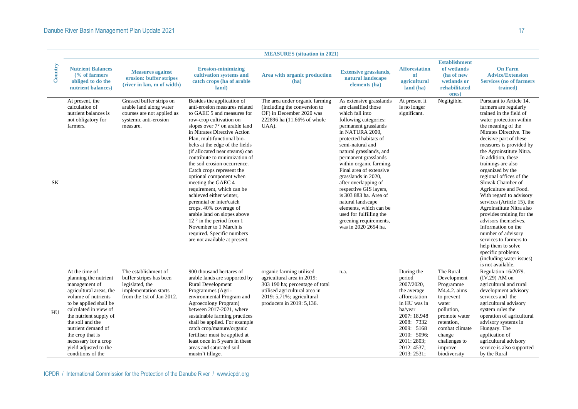|           |                                                                                                                                                                                                                                                                                                                             |                                                                                                                          |                                                                                                                                                                                                                                                                                                                                                                                                                                                                                                                                                                                                                                                                                                                    | <b>MEASURES</b> (situation in 2021)                                                                                                                                                  |                                                                                                                                                                                                                                                                                                                                                                                                                                                                                                                             |                                                                                                                                                                                                       |                                                                                                                                                                                                   |                                                                                                                                                                                                                                                                                                                                                                                                                                                                                                                                                                                                                                                                                               |
|-----------|-----------------------------------------------------------------------------------------------------------------------------------------------------------------------------------------------------------------------------------------------------------------------------------------------------------------------------|--------------------------------------------------------------------------------------------------------------------------|--------------------------------------------------------------------------------------------------------------------------------------------------------------------------------------------------------------------------------------------------------------------------------------------------------------------------------------------------------------------------------------------------------------------------------------------------------------------------------------------------------------------------------------------------------------------------------------------------------------------------------------------------------------------------------------------------------------------|--------------------------------------------------------------------------------------------------------------------------------------------------------------------------------------|-----------------------------------------------------------------------------------------------------------------------------------------------------------------------------------------------------------------------------------------------------------------------------------------------------------------------------------------------------------------------------------------------------------------------------------------------------------------------------------------------------------------------------|-------------------------------------------------------------------------------------------------------------------------------------------------------------------------------------------------------|---------------------------------------------------------------------------------------------------------------------------------------------------------------------------------------------------|-----------------------------------------------------------------------------------------------------------------------------------------------------------------------------------------------------------------------------------------------------------------------------------------------------------------------------------------------------------------------------------------------------------------------------------------------------------------------------------------------------------------------------------------------------------------------------------------------------------------------------------------------------------------------------------------------|
| Country   | <b>Nutrient Balances</b><br>$\frac{6}{6}$ of farmers<br>obliged to do the<br>nutrient balances)                                                                                                                                                                                                                             | <b>Measures against</b><br>erosion: buffer stripes<br>(river in km, m of width)                                          | <b>Erosion-minimizing</b><br>cultivation systems and<br>catch crops (ha of arable<br>land)                                                                                                                                                                                                                                                                                                                                                                                                                                                                                                                                                                                                                         | Area with organic production<br>(ha)                                                                                                                                                 | <b>Extensive grasslands,</b><br>natural landscape<br>elements (ha)                                                                                                                                                                                                                                                                                                                                                                                                                                                          | <b>Afforestation</b><br>of<br>agricultural<br>land (ha)                                                                                                                                               | <b>Establishment</b><br>of wetlands<br>(ha of new<br>wetlands or<br>rehabilitated<br>ones)                                                                                                        | <b>On Farm</b><br><b>Advice/Extension</b><br><b>Services (no of farmers)</b><br>trained)                                                                                                                                                                                                                                                                                                                                                                                                                                                                                                                                                                                                      |
| <b>SK</b> | At present, the<br>calculation of<br>nutrient balances is<br>not obligatory for<br>farmers.                                                                                                                                                                                                                                 | Grassed buffer strips on<br>arable land along water<br>courses are not applied as<br>systemic anti-erosion<br>measure.   | Besides the application of<br>anti-erosion measures related<br>to GAEC 5 and measures for<br>row-crop cultivation on<br>slopes over 7° on arable land<br>in Nitrates Directive Action<br>Plan. multifunctional bio-<br>belts at the edge of the fields<br>(if allocated near steams) can<br>contribute to minimization of<br>the soil erosion occurrence.<br>Catch crops represent the<br>optional component when<br>meeting the GAEC 4<br>requirement, which can be<br>achieved either winter,<br>perennial or inter/catch<br>crops. 40% coverage of<br>arable land on slopes above<br>12 $\degree$ in the period from 1<br>November to 1 March is<br>required. Specific numbers<br>are not available at present. | The area under organic farming<br>(including the conversion to<br>OF) in December 2020 was<br>222896 ha (11.66% of whole<br>UAA).                                                    | As extensive grasslands<br>are classified those<br>which fall into<br>following categories:<br>permanent grasslands<br>in NATURA 2000,<br>protected habitats of<br>semi-natural and<br>natural grasslands, and<br>permanent grasslands<br>within organic farming.<br>Final area of extensive<br>grasslands in 2020,<br>after overlapping of<br>respective GIS layers,<br>is 303 883 ha. Area of<br>natural landscape<br>elements, which can be<br>used for fulfilling the<br>greening requirements,<br>was in 2020 2654 ha. | At present it<br>is no longer<br>significant.                                                                                                                                                         | Negligible.                                                                                                                                                                                       | Pursuant to Article 14,<br>farmers are regularly<br>trained in the field of<br>water protection within<br>the meaning of the<br>Nitrates Directive. The<br>decisive part of these<br>measures is provided by<br>the Agroinstitute Nitra.<br>In addition, these<br>trainings are also<br>organized by the<br>regional offices of the<br>Slovak Chamber of<br>Agriculture and Food.<br>With regard to advisory<br>services (Article 15), the<br>Agroinstitute Nitra also<br>provides training for the<br>advisors themselves.<br>Information on the<br>number of advisory<br>services to farmers to<br>help them to solve<br>specific problems<br>(including water issues)<br>is not available. |
| <b>HU</b> | At the time of<br>planning the nutrient<br>management of<br>agricultural areas, the<br>volume of nutrients<br>to be applied shall be<br>calculated in view of<br>the nutrient supply of<br>the soil and the<br>nutrient demand of<br>the crop that is<br>necessary for a crop<br>yield adjusted to the<br>conditions of the | The establishment of<br>buffer stripes has been<br>legislated, the<br>implementation starts<br>from the 1st of Jan 2012. | 900 thousand hectares of<br>arable lands are supported by<br><b>Rural Development</b><br>Programmes (Agri-<br>environmental Program and<br>Agroecology Program)<br>between 2017-2021, where<br>sustainable farming practices<br>shall be applied. For example<br>catch crop/manure/organic<br>fertiliser must be applied at<br>least once in 5 years in these<br>areas and saturated soil<br>mustn't tillage.                                                                                                                                                                                                                                                                                                      | organic farming utilised<br>agricultural area in 2019:<br>303 190 ha; percentage of total<br>utilised agricultural area in<br>2019: 5,71%; agricultural<br>producers in 2019: 5,136. | n.a.                                                                                                                                                                                                                                                                                                                                                                                                                                                                                                                        | During the<br>period<br>2007/2020,<br>the average<br>afforestation<br>in HU was in<br>ha/year<br>2007: 18.948<br>2008: 7332<br>2009: 5168<br>2010: 5096;<br>2011: 2803;<br>2012: 4537;<br>2013: 2531; | The Rural<br>Development<br>Programme<br>M4.4.2. aims<br>to prevent<br>water<br>pollution,<br>promote water<br>retention,<br>combat climate<br>change<br>challenges to<br>improve<br>biodiversity | Regulation 16/2079.<br>$(IV.29)$ AM on<br>agricultural and rural<br>development advisory<br>services and the<br>agricultural advisory<br>system rules the<br>operation of agricultural<br>advisory systems in<br>Hungary. The<br>application of<br>agricultural advisory<br>service is also supported<br>by the Rural                                                                                                                                                                                                                                                                                                                                                                         |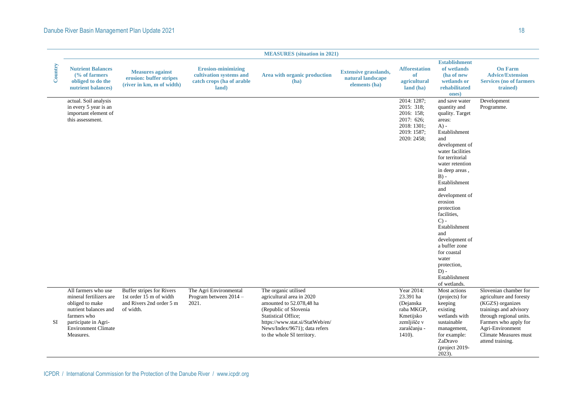### Danube River Basin Management Plan Update 2021 and the Contract of the Contract of the Contract of the Contract of the Contract of the Contract of the Contract of the Contract of the Contract of the Contract of the Contrac

|         |                                                                                                                                                                              |                                                                                               |                                                                                            | <b>MEASURES</b> (situation in 2021)                                                                                                                                                                                                    |                                                                    |                                                                                                             |                                                                                                                                                                                                                                                                                                                                                                                                                                                  |                                                                                                                                                                                                                     |  |  |  |
|---------|------------------------------------------------------------------------------------------------------------------------------------------------------------------------------|-----------------------------------------------------------------------------------------------|--------------------------------------------------------------------------------------------|----------------------------------------------------------------------------------------------------------------------------------------------------------------------------------------------------------------------------------------|--------------------------------------------------------------------|-------------------------------------------------------------------------------------------------------------|--------------------------------------------------------------------------------------------------------------------------------------------------------------------------------------------------------------------------------------------------------------------------------------------------------------------------------------------------------------------------------------------------------------------------------------------------|---------------------------------------------------------------------------------------------------------------------------------------------------------------------------------------------------------------------|--|--|--|
| Country | <b>Nutrient Balances</b><br>$\frac{6}{6}$ of farmers<br>obliged to do the<br>nutrient balances)                                                                              | <b>Measures against</b><br>erosion: buffer stripes<br>(river in km, m of width)               | <b>Erosion-minimizing</b><br>cultivation systems and<br>catch crops (ha of arable<br>land) | Area with organic production<br>(ha)                                                                                                                                                                                                   | <b>Extensive grasslands,</b><br>natural landscape<br>elements (ha) | <b>Afforestation</b><br>of<br>agricultural<br>land (ha)                                                     | <b>Establishment</b><br>of wetlands<br>(ha of new<br>wetlands or<br>rehabilitated<br>ones)                                                                                                                                                                                                                                                                                                                                                       | <b>On Farm</b><br><b>Advice/Extension</b><br><b>Services (no of farmers)</b><br>trained)                                                                                                                            |  |  |  |
|         | actual. Soil analysis<br>in every 5 year is an<br>important element of<br>this assessment.                                                                                   |                                                                                               |                                                                                            |                                                                                                                                                                                                                                        |                                                                    | 2014: 1287:<br>2015: 318:<br>2016: 158:<br>2017: 626:<br>2018: 1301;<br>2019: 1587;<br>2020: 2458;          | and save water<br>quantity and<br>quality. Target<br>areas:<br>$A) -$<br>Establishment<br>and<br>development of<br>water facilities<br>for territorial<br>water retention<br>in deep areas,<br>$B) -$<br>Establishment<br>and<br>development of<br>erosion<br>protection<br>facilities.<br>$C$ ) -<br>Establishment<br>and<br>development of<br>a buffer zone<br>for coastal<br>water<br>protection,<br>$D$ ) -<br>Establishment<br>of wetlands. | Development<br>Programme.                                                                                                                                                                                           |  |  |  |
| SI      | All farmers who use<br>mineral fertilizers are<br>obliged to make<br>nutrient balances and<br>farmers who<br>participate in Agri-<br><b>Environment Climate</b><br>Measures. | Buffer stripes for Rivers<br>1st order 15 m of width<br>and Rivers 2nd order 5 m<br>of width. | The Agri Environmental<br>Program between 2014 -<br>2021.                                  | The organic utilised<br>agricultural area in 2020<br>amounted to 52.078,48 ha<br>(Republic of Slovenia<br><b>Statistical Office;</b><br>https://www.stat.si/StatWeb/en/<br>News/Index/9671); data refers<br>to the whole SI territory. |                                                                    | Year 2014:<br>23.391 ha<br>(Dejanska<br>raba MKGP,<br>Kmetijsko<br>zemljišče v<br>zaraščanju -<br>$1410$ ). | Most actions<br>(projects) for<br>keeping<br>existing<br>wetlands with<br>sustainable<br>management,<br>for example:<br>ZaDravo<br>(project 2019-<br>2023).                                                                                                                                                                                                                                                                                      | Slovenian chamber for<br>agriculture and foresty<br>(KGZS) organizes<br>trainings and advisory<br>through regional units.<br>Farmers who apply for<br>Agri-Environment<br>Climate Measures must<br>attend training. |  |  |  |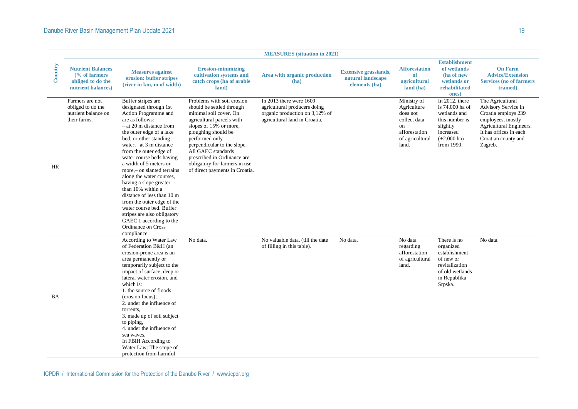|           |                                                                                                 |                                                                                                                                                                                                                                                                                                                                                                                                                                                                                                                                                                                          |                                                                                                                                                                                                                                                                                                                                          | <b>MEASURES</b> (situation in 2021)                                                                                            |                                                                    |                                                                                                           |                                                                                                                              |                                                                                                                                                                            |
|-----------|-------------------------------------------------------------------------------------------------|------------------------------------------------------------------------------------------------------------------------------------------------------------------------------------------------------------------------------------------------------------------------------------------------------------------------------------------------------------------------------------------------------------------------------------------------------------------------------------------------------------------------------------------------------------------------------------------|------------------------------------------------------------------------------------------------------------------------------------------------------------------------------------------------------------------------------------------------------------------------------------------------------------------------------------------|--------------------------------------------------------------------------------------------------------------------------------|--------------------------------------------------------------------|-----------------------------------------------------------------------------------------------------------|------------------------------------------------------------------------------------------------------------------------------|----------------------------------------------------------------------------------------------------------------------------------------------------------------------------|
| Country   | <b>Nutrient Balances</b><br>$\frac{6}{6}$ of farmers<br>obliged to do the<br>nutrient balances) | <b>Measures against</b><br>erosion: buffer stripes<br>(river in km, m of width)                                                                                                                                                                                                                                                                                                                                                                                                                                                                                                          | <b>Erosion-minimizing</b><br>cultivation systems and<br>catch crops (ha of arable<br>land)                                                                                                                                                                                                                                               | Area with organic production<br>(ha)                                                                                           | <b>Extensive grasslands,</b><br>natural landscape<br>elements (ha) | <b>Afforestation</b><br>of<br>agricultural<br>land (ha)                                                   | <b>Establishment</b><br>of wetlands<br>(ha of new<br>wetlands or<br>rehabilitated<br>ones)                                   | <b>On Farm</b><br><b>Advice/Extension</b><br><b>Services (no of farmers)</b><br>trained)                                                                                   |
| HR        | Farmers are not<br>obliged to do the<br>nutrient balance on<br>their farms.                     | Buffer stripes are<br>designated through 1st<br>Action Programme and<br>are as follows:<br>$-$ at 20 m distance from<br>the outer edge of a lake<br>bed, or other standing<br>water, $-$ at 3 m distance<br>from the outer edge of<br>water course beds having<br>a width of 5 meters or<br>more,- on slanted terrains<br>along the water courses,<br>having a slope greater<br>than 10% within a<br>distance of less than 10 m<br>from the outer edge of the<br>water course bed. Buffer<br>stripes are also obligatory<br>GAEC 1 according to the<br>Ordinance on Cross<br>compliance. | Problems with soil erosion<br>should be settled through<br>minimal soil cover. On<br>agricultural parcels with<br>slopes of 15% or more,<br>ploughing should be<br>performed only<br>perpendicular to the slope.<br>All GAEC standards<br>prescribed in Ordinance are<br>obligatory for farmers in use<br>of direct payments in Croatia. | In $2013$ there were $1609$<br>agricultural producers doing<br>organic production on 3,12% of<br>agricultural land in Croatia. |                                                                    | Ministry of<br>Agriculture<br>does not<br>collect data<br>on<br>afforestation<br>of agricultural<br>land. | In 2012, there<br>is 74.000 ha of<br>wetlands and<br>this number is<br>slightly<br>increased<br>$(+2.000)$ ha)<br>from 1990. | The Agricultural<br>Advisory Service in<br>Croatia employs 239<br>employees, mostly<br>Agricultural Engineers.<br>It has offices in each<br>Croatian county and<br>Zagreb. |
| <b>BA</b> |                                                                                                 | According to Water Law<br>of Federation B&H (an<br>erosion-prone area is an<br>area permanently or<br>temporarily subject to the<br>impact of surface, deep or<br>lateral water erosion, and<br>which is:<br>1. the source of floods<br>(erosion focus),<br>2. under the influence of<br>torrents.<br>3. made up of soil subject<br>to piping,<br>4. under the influence of<br>sea waves.<br>In FBiH According to<br>Water Law: The scope of<br>protection from harmful                                                                                                                  | No data.                                                                                                                                                                                                                                                                                                                                 | No valuable data. (till the date<br>of filling in this table).                                                                 | No data.                                                           | No data<br>regarding<br>afforestation<br>of agricultural<br>land.                                         | There is no<br>organized<br>establishment<br>of new or<br>revitalization<br>of old wetlands<br>in Republika<br>Srpska.       | No data.                                                                                                                                                                   |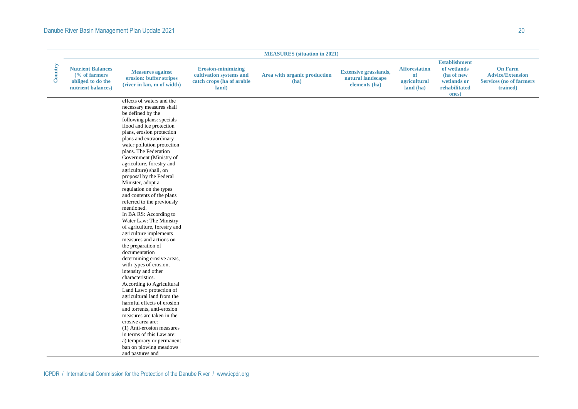### Danube River Basin Management Plan Update 2021 20 and 20 and 20 and 20 and 20 and 20 and 20 and 20 and 20 and 20 and 20 and 20 and 20 and 20 and 20 and 20 and 20 and 20 and 20 and 20 and 20 and 20 and 20 and 20 and 20 and

|         | <b>MEASURES</b> (situation in 2021)                                                             |                                                                                                                                                                                                                                                                                                                                                                                                                                                                                                                                                                                                                                                                                                                                                                                                                                                                                                                                                                                                                                                                                                    |                                                                                            |                                      |                                                                    |                                                         |                                                                                            |                                                                                         |
|---------|-------------------------------------------------------------------------------------------------|----------------------------------------------------------------------------------------------------------------------------------------------------------------------------------------------------------------------------------------------------------------------------------------------------------------------------------------------------------------------------------------------------------------------------------------------------------------------------------------------------------------------------------------------------------------------------------------------------------------------------------------------------------------------------------------------------------------------------------------------------------------------------------------------------------------------------------------------------------------------------------------------------------------------------------------------------------------------------------------------------------------------------------------------------------------------------------------------------|--------------------------------------------------------------------------------------------|--------------------------------------|--------------------------------------------------------------------|---------------------------------------------------------|--------------------------------------------------------------------------------------------|-----------------------------------------------------------------------------------------|
| Country | <b>Nutrient Balances</b><br>$\frac{6}{6}$ of farmers<br>obliged to do the<br>nutrient balances) | <b>Measures against</b><br>erosion: buffer stripes<br>(river in km, m of width)                                                                                                                                                                                                                                                                                                                                                                                                                                                                                                                                                                                                                                                                                                                                                                                                                                                                                                                                                                                                                    | <b>Erosion-minimizing</b><br>cultivation systems and<br>catch crops (ha of arable<br>land) | Area with organic production<br>(ha) | <b>Extensive grasslands,</b><br>natural landscape<br>elements (ha) | <b>Afforestation</b><br>of<br>agricultural<br>land (ha) | <b>Establishment</b><br>of wetlands<br>(ha of new<br>wetlands or<br>rehabilitated<br>ones) | <b>On Farm</b><br><b>Advice/Extension</b><br><b>Services (no of farmers</b><br>trained) |
|         |                                                                                                 | effects of waters and the<br>necessary measures shall<br>be defined by the<br>following plans: specials<br>flood and ice protection<br>plans, erosion protection<br>plans and extraordinary<br>water pollution protection<br>plans. The Federation<br>Government (Ministry of<br>agriculture, forestry and<br>agriculture) shall, on<br>proposal by the Federal<br>Minister, adopt a<br>regulation on the types<br>and contents of the plans<br>referred to the previously<br>mentioned.<br>In BA RS: According to<br>Water Law: The Ministry<br>of agriculture, forestry and<br>agriculture implements<br>measures and actions on<br>the preparation of<br>documentation<br>determining erosive areas,<br>with types of erosion,<br>intensity and other<br>characteristics.<br>According to Agricultural<br>Land Law:: protection of<br>agricultural land from the<br>harmful effects of erosion<br>and torrents, anti-erosion<br>measures are taken in the<br>erosive area are:<br>(1) Anti-erosion measures<br>in terms of this Law are:<br>a) temporary or permanent<br>ban on plowing meadows |                                                                                            |                                      |                                                                    |                                                         |                                                                                            |                                                                                         |
|         |                                                                                                 | and pastures and                                                                                                                                                                                                                                                                                                                                                                                                                                                                                                                                                                                                                                                                                                                                                                                                                                                                                                                                                                                                                                                                                   |                                                                                            |                                      |                                                                    |                                                         |                                                                                            |                                                                                         |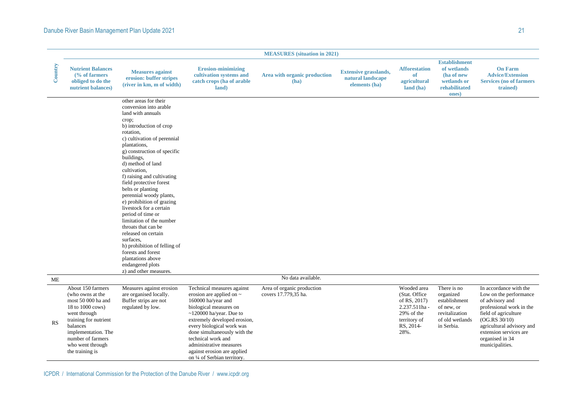### Danube River Basin Management Plan Update 2021 21 and 2008 2009 21 and 21 and 21 and 21 and 21 and 21 and 21 and 21 and 21 and 21 and 21 and 21 and 21 and 21 and 21 and 21 and 21 and 21 and 21 and 21 and 22 and 22 and 22 a

|           |                                                                                                                                                                                                                         |                                                                                                                                                                                                                                                                                                                                                                                                                                                                                                                                                                                                                                                              |                                                                                                                                                                                                                                                                                                                                                           | <b>MEASURES</b> (situation in 2021)                |                                                                    |                                                                                                                   |                                                                                                            |                                                                                                                                                                                                                                       |
|-----------|-------------------------------------------------------------------------------------------------------------------------------------------------------------------------------------------------------------------------|--------------------------------------------------------------------------------------------------------------------------------------------------------------------------------------------------------------------------------------------------------------------------------------------------------------------------------------------------------------------------------------------------------------------------------------------------------------------------------------------------------------------------------------------------------------------------------------------------------------------------------------------------------------|-----------------------------------------------------------------------------------------------------------------------------------------------------------------------------------------------------------------------------------------------------------------------------------------------------------------------------------------------------------|----------------------------------------------------|--------------------------------------------------------------------|-------------------------------------------------------------------------------------------------------------------|------------------------------------------------------------------------------------------------------------|---------------------------------------------------------------------------------------------------------------------------------------------------------------------------------------------------------------------------------------|
| Country   | <b>Nutrient Balances</b><br>$\frac{6}{6}$ of farmers<br>obliged to do the<br>nutrient balances)                                                                                                                         | <b>Measures against</b><br>erosion: buffer stripes<br>(river in km, m of width)                                                                                                                                                                                                                                                                                                                                                                                                                                                                                                                                                                              | <b>Erosion-minimizing</b><br>cultivation systems and<br>catch crops (ha of arable<br>land)                                                                                                                                                                                                                                                                | Area with organic production<br>(ha)               | <b>Extensive grasslands,</b><br>natural landscape<br>elements (ha) | <b>Afforestation</b><br>of<br>agricultural<br>land (ha)                                                           | <b>Establishment</b><br>of wetlands<br>(ha of new<br>wetlands or<br>rehabilitated<br>ones)                 | <b>On Farm</b><br><b>Advice/Extension</b><br><b>Services (no of farmers)</b><br>trained)                                                                                                                                              |
|           |                                                                                                                                                                                                                         | other areas for their<br>conversion into arable<br>land with annuals<br>crop;<br>b) introduction of crop<br>rotation.<br>c) cultivation of perennial<br>plantations,<br>g) construction of specific<br>buildings,<br>d) method of land<br>cultivation.<br>f) raising and cultivating<br>field protective forest<br>belts or planting<br>perennial woody plants,<br>e) prohibition of grazing<br>livestock for a certain<br>period of time or<br>limitation of the number<br>throats that can be<br>released on certain<br>surfaces.<br>h) prohibition of felling of<br>forests and forest<br>plantations above<br>endangered plots<br>z) and other measures. |                                                                                                                                                                                                                                                                                                                                                           |                                                    |                                                                    |                                                                                                                   |                                                                                                            |                                                                                                                                                                                                                                       |
| ME        |                                                                                                                                                                                                                         |                                                                                                                                                                                                                                                                                                                                                                                                                                                                                                                                                                                                                                                              |                                                                                                                                                                                                                                                                                                                                                           | No data available.                                 |                                                                    |                                                                                                                   |                                                                                                            |                                                                                                                                                                                                                                       |
| <b>RS</b> | About 150 farmers<br>(who owns at the<br>most 50 000 ha and<br>18 to 1000 cows)<br>went through<br>training for nutrient<br>balances<br>implementation. The<br>number of farmers<br>who went through<br>the training is | Measures against erosion<br>are organised locally.<br>Buffer strips are not<br>regulated by low.                                                                                                                                                                                                                                                                                                                                                                                                                                                                                                                                                             | Technical measures against<br>erosion are applied on $\sim$<br>160000 ha/year and<br>biological measures on<br>$\sim$ 120000 ha/year. Due to<br>extremely developed erosion,<br>every biological work was<br>done simultaneously with the<br>technical work and<br>administrative measures<br>against erosion are applied<br>on 1/4 of Serbian territory. | Area of organic production<br>covers 17.779,35 ha. |                                                                    | Wooded area<br>(Stat. Office)<br>of RS, 2017)<br>2.237.511ha -<br>29% of the<br>territory of<br>RS, 2014-<br>28%. | There is no<br>organized<br>establishment<br>of new, or<br>revitalization<br>of old wetlands<br>in Serbia. | In accordance with the<br>Low on the performance<br>of advisory and<br>professional work in the<br>field of agriculture<br>(OG.RS 30/10)<br>agricultural advisory and<br>extension services are<br>organised in 34<br>municipalities. |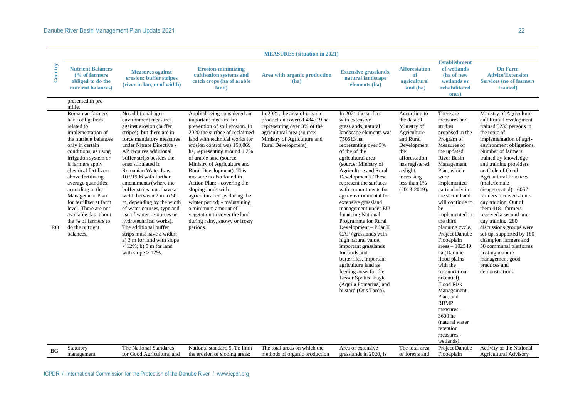|           |                                                                                                                                                                                                                                                                                                                                                                                                                                     |                                                                                                                                                                                                                                                                                                                                                                                                                                                                                                                                                                                                                                       |                                                                                                                                                                                                                                                                                                                                                                                                                                                                                                                                                                     | <b>MEASURES</b> (situation in 2021)                                                                                                                                              |                                                                                                                                                                                                                                                                                                                                                                                                                                                                                                                                                                                                                                                                                         |                                                                                                                                                                                             |                                                                                                                                                                                                                                                                                                                                                                                                                                                                                                                                                                         |                                                                                                                                                                                                                                                                                                                                                                                                                                                                                                                                                                                                                                |
|-----------|-------------------------------------------------------------------------------------------------------------------------------------------------------------------------------------------------------------------------------------------------------------------------------------------------------------------------------------------------------------------------------------------------------------------------------------|---------------------------------------------------------------------------------------------------------------------------------------------------------------------------------------------------------------------------------------------------------------------------------------------------------------------------------------------------------------------------------------------------------------------------------------------------------------------------------------------------------------------------------------------------------------------------------------------------------------------------------------|---------------------------------------------------------------------------------------------------------------------------------------------------------------------------------------------------------------------------------------------------------------------------------------------------------------------------------------------------------------------------------------------------------------------------------------------------------------------------------------------------------------------------------------------------------------------|----------------------------------------------------------------------------------------------------------------------------------------------------------------------------------|-----------------------------------------------------------------------------------------------------------------------------------------------------------------------------------------------------------------------------------------------------------------------------------------------------------------------------------------------------------------------------------------------------------------------------------------------------------------------------------------------------------------------------------------------------------------------------------------------------------------------------------------------------------------------------------------|---------------------------------------------------------------------------------------------------------------------------------------------------------------------------------------------|-------------------------------------------------------------------------------------------------------------------------------------------------------------------------------------------------------------------------------------------------------------------------------------------------------------------------------------------------------------------------------------------------------------------------------------------------------------------------------------------------------------------------------------------------------------------------|--------------------------------------------------------------------------------------------------------------------------------------------------------------------------------------------------------------------------------------------------------------------------------------------------------------------------------------------------------------------------------------------------------------------------------------------------------------------------------------------------------------------------------------------------------------------------------------------------------------------------------|
| Country   | <b>Nutrient Balances</b><br>$\frac{6}{6}$ of farmers<br>obliged to do the<br>nutrient balances)                                                                                                                                                                                                                                                                                                                                     | <b>Measures against</b><br>erosion: buffer stripes<br>(river in km, m of width)                                                                                                                                                                                                                                                                                                                                                                                                                                                                                                                                                       | <b>Erosion-minimizing</b><br>cultivation systems and<br>catch crops (ha of arable<br>land)                                                                                                                                                                                                                                                                                                                                                                                                                                                                          | Area with organic production<br>(ha)                                                                                                                                             | <b>Extensive grasslands,</b><br>natural landscape<br>elements (ha)                                                                                                                                                                                                                                                                                                                                                                                                                                                                                                                                                                                                                      | <b>Afforestation</b><br>of<br>agricultural<br>land (ha)                                                                                                                                     | <b>Establishment</b><br>of wetlands<br>(ha of new<br>wetlands or<br>rehabilitated<br>ones)                                                                                                                                                                                                                                                                                                                                                                                                                                                                              | <b>On Farm</b><br><b>Advice/Extension</b><br><b>Services (no of farmers)</b><br>trained)                                                                                                                                                                                                                                                                                                                                                                                                                                                                                                                                       |
|           | presented in pro<br>mille.                                                                                                                                                                                                                                                                                                                                                                                                          |                                                                                                                                                                                                                                                                                                                                                                                                                                                                                                                                                                                                                                       |                                                                                                                                                                                                                                                                                                                                                                                                                                                                                                                                                                     |                                                                                                                                                                                  |                                                                                                                                                                                                                                                                                                                                                                                                                                                                                                                                                                                                                                                                                         |                                                                                                                                                                                             |                                                                                                                                                                                                                                                                                                                                                                                                                                                                                                                                                                         |                                                                                                                                                                                                                                                                                                                                                                                                                                                                                                                                                                                                                                |
| RO.       | Romanian farmers<br>have obligations<br>related to<br>implementation of<br>the nutrient balances<br>only in certain<br>conditions, as using<br>irrigation system or<br>if farmers apply<br>chemical fertilizers<br>above fertilizing<br>average quantities,<br>according to the<br>Management Plan<br>for fertilizer at farm<br>level. There are not<br>available data about<br>the % of farmers to<br>do the nutrient<br>balances. | No additional agri-<br>environment measures<br>against erosion (buffer<br>stripes), but there are in<br>force mandatory measures<br>under Nitrate Directive -<br>AP requires additional<br>buffer strips besides the<br>ones stipulated in<br>Romanian Water Law<br>107/1996 with further<br>amendments (where the<br>buffer strips must have a<br>width between 2 m to 50<br>m, depending by the width<br>of water courses, type and<br>use of water resources or<br>hydrotechnical works).<br>The additional buffer<br>strips must have a width:<br>a) 3 m for land with slope<br>$<$ 12%; b) 5 m for land<br>with slope $> 12\%$ . | Applied being considered an<br>important measure for<br>prevention of soil erosion. In<br>2020 the surface of reclaimed<br>land with technical works for<br>erosion control was 158,869<br>ha, representing around 1.2%<br>of arable land (source:<br>Ministry of Agriculture and<br>Rural Development). This<br>measure is also found in<br>Action Plan: - covering the<br>sloping lands with<br>agricultural crops during the<br>winter period; - maintaining<br>a minimum amount of<br>vegetation to cover the land<br>during rainy, snowy or frosty<br>periods. | In 2021, the area of organic<br>production covered 484719 ha,<br>representing over 3% of the<br>agricultural area (source:<br>Ministry of Agriculture and<br>Rural Development). | In 2021 the surface<br>with extensive<br>grasslands, natural<br>landscape elements was<br>750513 ha.<br>representing over 5%<br>of the of the<br>agricultural area<br>(source: Ministry of<br>Agriculture and Rural<br>Development). These<br>represent the surfaces<br>with commitments for<br>agri-environmental for<br>extensive grassland<br>management under EU<br>financing National<br>Programme for Rural<br>Development - Pilar II<br>CAP (grasslands with<br>high natural value,<br>important grasslands<br>for birds and<br>butterflies, important<br>agriculture land as<br>feeding areas for the<br>Lesser Spotted Eagle<br>(Aquila Pomarina) and<br>bustard (Otis Tarda). | According to<br>the data of<br>Ministry of<br>Agriculture<br>and Rural<br>Development<br>the<br>afforestation<br>has registered<br>a slight<br>increasing<br>less than 1%<br>$(2013-2019).$ | There are<br>measures and<br>studies<br>proposed in the<br>Program of<br>Measures of<br>the updated<br>River Basin<br>Management<br>Plan, which<br>were<br>implemented<br>particularly in<br>the second and<br>will continue to<br>be<br>implemented in<br>the third<br>planning cycle.<br>Project Danube<br>Floodplain<br>$areas - 102549$<br>ha (Danube<br>flood plains<br>with the<br>reconnection<br>potential).<br><b>Flood Risk</b><br>Management<br>Plan, and<br><b>RBMP</b><br>measures -<br>3600 ha<br>(natural water<br>retention<br>measures -<br>wetlands). | Ministry of Agriculture<br>and Rural Development<br>trained 5235 persons in<br>the topic of<br>implementation of agri-<br>environment obligations.<br>Number of farmers<br>trained by knowledge<br>and training providers<br>on Code of Good<br><b>Agricultural Practices</b><br>(male/female<br>disaggregated) - 6057<br>farmers received a one-<br>day training. Out of<br>them 4181 farmers<br>received a second one-<br>day training. 280<br>discussions groups were<br>set-up, supported by 180<br>champion farmers and<br>50 communal platforms<br>hosting manure<br>management good<br>practices and<br>demonstrations. |
| <b>BG</b> | Statutory<br>management                                                                                                                                                                                                                                                                                                                                                                                                             | The National Standards<br>for Good Agricultural and                                                                                                                                                                                                                                                                                                                                                                                                                                                                                                                                                                                   | National standard 5. To limit<br>the erosion of sloping areas:                                                                                                                                                                                                                                                                                                                                                                                                                                                                                                      | The total areas on which the<br>methods of organic production                                                                                                                    | Area of extensive<br>grasslands in 2020, is                                                                                                                                                                                                                                                                                                                                                                                                                                                                                                                                                                                                                                             | The total area<br>of forests and                                                                                                                                                            | Project Danube<br>Floodplain                                                                                                                                                                                                                                                                                                                                                                                                                                                                                                                                            | Activity of the National<br><b>Agricultural Advisory</b>                                                                                                                                                                                                                                                                                                                                                                                                                                                                                                                                                                       |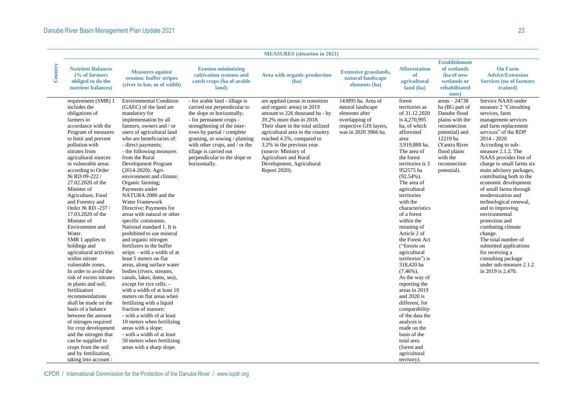|         | <b>MEASURES</b> (situation in 2021)                                                                                                                                                                                                                                                                                                                                                                                                                                                                                                                                                                                                                                                                                                                                                                                                                                                                    |                                                                                                                                                                                                                                                                                                                                                                                                                                                                                                                                                                                                                                                                                                                                                                                                                                                                                                                                                                                                                                                                                                     |                                                                                                                                                                                                                                                                                                                                      |                                                                                                                                                                                                                                                                                                                                                                        |                                                                                                                               |                                                                                                                                                                                                                                                                                                                                                                                                                                                                                                                                                                                                                                                                                 |                                                                                                                                                                                                |                                                                                                                                                                                                                                                                                                                                                                                                                                                                                                                                                                                                                                                 |
|---------|--------------------------------------------------------------------------------------------------------------------------------------------------------------------------------------------------------------------------------------------------------------------------------------------------------------------------------------------------------------------------------------------------------------------------------------------------------------------------------------------------------------------------------------------------------------------------------------------------------------------------------------------------------------------------------------------------------------------------------------------------------------------------------------------------------------------------------------------------------------------------------------------------------|-----------------------------------------------------------------------------------------------------------------------------------------------------------------------------------------------------------------------------------------------------------------------------------------------------------------------------------------------------------------------------------------------------------------------------------------------------------------------------------------------------------------------------------------------------------------------------------------------------------------------------------------------------------------------------------------------------------------------------------------------------------------------------------------------------------------------------------------------------------------------------------------------------------------------------------------------------------------------------------------------------------------------------------------------------------------------------------------------------|--------------------------------------------------------------------------------------------------------------------------------------------------------------------------------------------------------------------------------------------------------------------------------------------------------------------------------------|------------------------------------------------------------------------------------------------------------------------------------------------------------------------------------------------------------------------------------------------------------------------------------------------------------------------------------------------------------------------|-------------------------------------------------------------------------------------------------------------------------------|---------------------------------------------------------------------------------------------------------------------------------------------------------------------------------------------------------------------------------------------------------------------------------------------------------------------------------------------------------------------------------------------------------------------------------------------------------------------------------------------------------------------------------------------------------------------------------------------------------------------------------------------------------------------------------|------------------------------------------------------------------------------------------------------------------------------------------------------------------------------------------------|-------------------------------------------------------------------------------------------------------------------------------------------------------------------------------------------------------------------------------------------------------------------------------------------------------------------------------------------------------------------------------------------------------------------------------------------------------------------------------------------------------------------------------------------------------------------------------------------------------------------------------------------------|
| Country | <b>Nutrient Balances</b><br>$\frac{6}{6}$ of farmers<br>obliged to do the<br>nutrient balances)                                                                                                                                                                                                                                                                                                                                                                                                                                                                                                                                                                                                                                                                                                                                                                                                        | <b>Measures against</b><br>erosion: buffer stripes<br>(river in km, m of width)                                                                                                                                                                                                                                                                                                                                                                                                                                                                                                                                                                                                                                                                                                                                                                                                                                                                                                                                                                                                                     | <b>Erosion-minimizing</b><br>cultivation systems and<br>catch crops (ha of arable<br>land)                                                                                                                                                                                                                                           | Area with organic production<br>(ha)                                                                                                                                                                                                                                                                                                                                   | <b>Extensive grasslands,</b><br>natural landscape<br>elements (ha)                                                            | <b>Afforestation</b><br>of<br>agricultural<br>land (ha)                                                                                                                                                                                                                                                                                                                                                                                                                                                                                                                                                                                                                         | <b>Establishment</b><br>of wetlands<br>(ha of new<br>wetlands or<br>rehabilitated<br>ones)                                                                                                     | <b>On Farm</b><br><b>Advice/Extension</b><br><b>Services (no of farmers)</b><br>trained)                                                                                                                                                                                                                                                                                                                                                                                                                                                                                                                                                        |
|         | requirement (SMR) 1<br>includes the<br>obligations of<br>farmers in<br>accordance with the<br>Program of measures<br>to limit and prevent<br>pollution with<br>nitrates from<br>agricultural sources<br>in vulnerable areas<br>according to Order<br>No RD 09-222 /<br>27.02.2020 of the<br>Minister of<br>Agriculture, Food<br>and Forestry and<br>Order № RD -237 /<br>17.03.2020 of the<br>Minister of<br>Environment and<br>Water.<br>SMR 1 applies to<br>holdings and<br>agricultural activities<br>within nitrate<br>vulnerable zones.<br>In order to avoid the<br>risk of excess nitrates<br>in plants and soil,<br>fertilization<br>recommendations<br>shall be made on the<br>basis of a balance<br>between the amount<br>of nitrogen required<br>for crop development<br>and the nitrogen that<br>can be supplied to<br>crops from the soil<br>and by fertilization,<br>taking into account: | <b>Environmental Condition</b><br>(GAEC) of the land are<br>mandatory for<br>implementation by all<br>farmers, owners and / or<br>users of agricultural land<br>who are beneficiaries of:<br>- direct payments;<br>- the following measures<br>from the Rural<br>Development Program<br>(2014-2020): Agri-<br>environment and climate;<br>Organic farming:<br>Payments under<br>NATURA 2000 and the<br>Water Framework<br>Directive; Payments for<br>areas with natural or other<br>specific constraints.<br>National standard 1. It is<br>prohibited to use mineral<br>and organic nitrogen<br>fertilizers in the buffer<br>strips: - with a width of at<br>least 5 meters on flat<br>areas, along surface water<br>bodies (rivers, streams,<br>canals, lakes, dams, sea),<br>except for rice cells; -<br>with a width of at least 10<br>meters on flat areas when<br>fertilizing with a liquid<br>fraction of manure;<br>- with a width of at least<br>10 meters when fertilizing<br>areas with a slope;<br>- with a width of at least<br>50 meters when fertilizing<br>areas with a sharp slope. | - for arable land - tillage is<br>carried out perpendicular to<br>the slope or horizontally;<br>- for permanent crops -<br>strengthening of the inter-<br>rows by partial / complete<br>grassing, or sowing / planting<br>with other crops, and / or the<br>tillage is carried out<br>perpendicular to the slope or<br>horizontally. | are applied (areas in transition<br>and organic areas) in 2019<br>amount to 226 thousand ha - by<br>39.2% more than in 2018.<br>Their share in the total utilized<br>agricultural area in the country<br>reached 4.5%, compared to<br>3.2% in the previous year.<br>(source: Ministry of<br><b>Agriculture and Rural</b><br>Development, Agricultural<br>Report 2020). | 143095 ha. Area of<br>natural landscape<br>elements after<br>overlapping of<br>respective GIS layers,<br>was in 2020 3966 ha. | forest<br>territories as<br>of 31.12.2020<br>is 4,270,995<br>ha, of which<br>afforested<br>area<br>3,919,888 ha.<br>The area of<br>the forest<br>territories is 3<br>952575 ha<br>$(92.54\%)$ .<br>The area of<br>agricultural<br>territories<br>with the<br>characteristics<br>of a forest<br>within the<br>meaning of<br>Article 2 of<br>the Forest Act<br>("forests on<br>agricultural<br>territories") is<br>318,420 ha<br>$(7.46\%)$ .<br>As the way of<br>reporting the<br>areas in 2019<br>and $2020$ is<br>different, for<br>comparability<br>of the data the<br>analysis is<br>made on the<br>basis of the<br>total area<br>(forest and<br>agricultural<br>territory). | areas $-24738$<br>ha (BG part of<br>Danube flood<br>plains with the<br>reconnection<br>potential) and<br>12219 ha<br>(Yantra River)<br>flood plains<br>with the<br>reconnection<br>potential). | Service NAAS under<br>measure 2 "Consulting<br>services, farm<br>management services<br>and farm replacement<br>services" of the RDP<br>$2014 - 2020$<br>According to sub-<br>measure 2.1.2. The<br>NAAS provides free of<br>charge to small farms six<br>main advisory packages,<br>contributing both to the<br>economic development<br>of small farms through<br>modernization and<br>technological renewal,<br>and to improving<br>environmental<br>protection and<br>combating climate<br>change.<br>The total number of<br>submitted applications<br>for receiving a<br>consulting package<br>under sub-measure 2.1.2<br>in 2019 is 2,470. |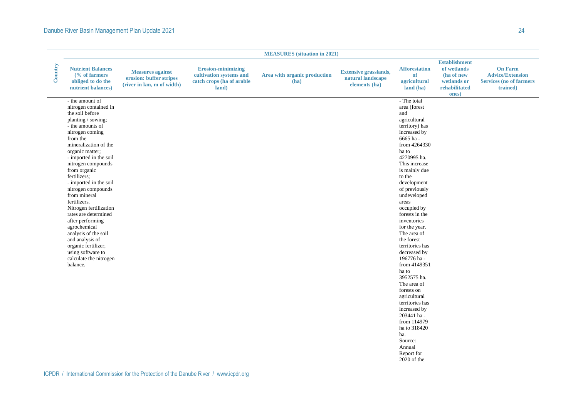### Danube River Basin Management Plan Update 2021 24

|         |                                                                                                                                                                                                                                                                                                                                                                                                                                                                                                                                                                     |                                                                                 |                                                                                            | <b>MEASURES</b> (situation in 2021)  |                                                                    |                                                                                                                                                                                                                                                                                                                                                                                                                                                                                                                                                                                                                           |                                                                                            |                                                                                          |
|---------|---------------------------------------------------------------------------------------------------------------------------------------------------------------------------------------------------------------------------------------------------------------------------------------------------------------------------------------------------------------------------------------------------------------------------------------------------------------------------------------------------------------------------------------------------------------------|---------------------------------------------------------------------------------|--------------------------------------------------------------------------------------------|--------------------------------------|--------------------------------------------------------------------|---------------------------------------------------------------------------------------------------------------------------------------------------------------------------------------------------------------------------------------------------------------------------------------------------------------------------------------------------------------------------------------------------------------------------------------------------------------------------------------------------------------------------------------------------------------------------------------------------------------------------|--------------------------------------------------------------------------------------------|------------------------------------------------------------------------------------------|
| Country | <b>Nutrient Balances</b><br>(% of farmers<br>obliged to do the<br>nutrient balances)                                                                                                                                                                                                                                                                                                                                                                                                                                                                                | <b>Measures against</b><br>erosion: buffer stripes<br>(river in km, m of width) | <b>Erosion-minimizing</b><br>cultivation systems and<br>catch crops (ha of arable<br>land) | Area with organic production<br>(ha) | <b>Extensive grasslands,</b><br>natural landscape<br>elements (ha) | <b>Afforestation</b><br>of<br>agricultural<br>land (ha)                                                                                                                                                                                                                                                                                                                                                                                                                                                                                                                                                                   | <b>Establishment</b><br>of wetlands<br>(ha of new<br>wetlands or<br>rehabilitated<br>ones) | <b>On Farm</b><br><b>Advice/Extension</b><br><b>Services (no of farmers)</b><br>trained) |
|         | - the amount of<br>nitrogen contained in<br>the soil before<br>planting / sowing;<br>- the amounts of<br>nitrogen coming<br>from the<br>mineralization of the<br>organic matter;<br>- imported in the soil<br>nitrogen compounds<br>from organic<br>fertilizers;<br>- imported in the soil<br>nitrogen compounds<br>from mineral<br>fertilizers.<br>Nitrogen fertilization<br>rates are determined<br>after performing<br>agrochemical<br>analysis of the soil<br>and analysis of<br>organic fertilizer,<br>using software to<br>calculate the nitrogen<br>balance. |                                                                                 |                                                                                            |                                      |                                                                    | - The total<br>area (forest<br>and<br>agricultural<br>territory) has<br>increased by<br>6665 ha-<br>from 4264330<br>ha to<br>4270995 ha.<br>This increase<br>is mainly due<br>to the<br>development<br>of previously<br>undeveloped<br>areas<br>occupied by<br>forests in the<br>inventories<br>for the year.<br>The area of<br>the forest<br>territories has<br>decreased by<br>196776 ha-<br>from 4149351<br>ha to<br>3952575 ha.<br>The area of<br>forests on<br>agricultural<br>territories has<br>increased by<br>203441 ha-<br>from 114979<br>ha to 318420<br>ha.<br>Source:<br>Annual<br>Report for<br>2020 of the |                                                                                            |                                                                                          |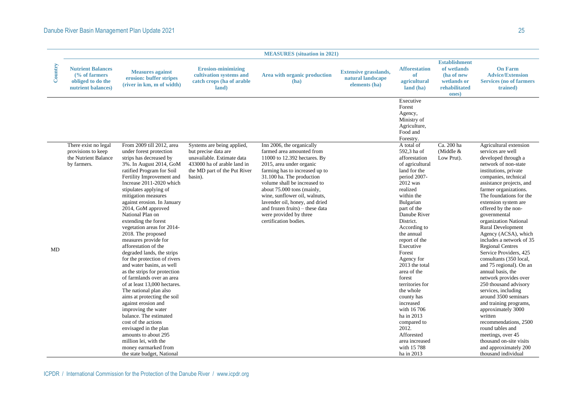|         |                                                                                                 |                                                                                                                                                                                                                                                                                                                                                                                                                                                                                                                                                                                                                                                                                                                                                                                                                                                                                                                                        |                                                                                                                                                            | <b>MEASURES</b> (situation in 2021)                                                                                                                                                                                                                                                                                                                                                                      |                                                                    |                                                                                                                                                                                                                                                                                                                                                                                                                                                                                                          |                                                                                            |                                                                                                                                                                                                                                                                                                                                                                                                                                                                                                                                                                                                                                                                                                                                                                                                                                       |
|---------|-------------------------------------------------------------------------------------------------|----------------------------------------------------------------------------------------------------------------------------------------------------------------------------------------------------------------------------------------------------------------------------------------------------------------------------------------------------------------------------------------------------------------------------------------------------------------------------------------------------------------------------------------------------------------------------------------------------------------------------------------------------------------------------------------------------------------------------------------------------------------------------------------------------------------------------------------------------------------------------------------------------------------------------------------|------------------------------------------------------------------------------------------------------------------------------------------------------------|----------------------------------------------------------------------------------------------------------------------------------------------------------------------------------------------------------------------------------------------------------------------------------------------------------------------------------------------------------------------------------------------------------|--------------------------------------------------------------------|----------------------------------------------------------------------------------------------------------------------------------------------------------------------------------------------------------------------------------------------------------------------------------------------------------------------------------------------------------------------------------------------------------------------------------------------------------------------------------------------------------|--------------------------------------------------------------------------------------------|---------------------------------------------------------------------------------------------------------------------------------------------------------------------------------------------------------------------------------------------------------------------------------------------------------------------------------------------------------------------------------------------------------------------------------------------------------------------------------------------------------------------------------------------------------------------------------------------------------------------------------------------------------------------------------------------------------------------------------------------------------------------------------------------------------------------------------------|
| Country | <b>Nutrient Balances</b><br>$\frac{6}{6}$ of farmers<br>obliged to do the<br>nutrient balances) | <b>Measures against</b><br>erosion: buffer stripes<br>(river in km, m of width)                                                                                                                                                                                                                                                                                                                                                                                                                                                                                                                                                                                                                                                                                                                                                                                                                                                        | <b>Erosion-minimizing</b><br>cultivation systems and<br>catch crops (ha of arable<br>land)                                                                 | Area with organic production<br>(ha)                                                                                                                                                                                                                                                                                                                                                                     | <b>Extensive grasslands,</b><br>natural landscape<br>elements (ha) | <b>Afforestation</b><br>of<br>agricultural<br>land (ha)                                                                                                                                                                                                                                                                                                                                                                                                                                                  | <b>Establishment</b><br>of wetlands<br>(ha of new<br>wetlands or<br>rehabilitated<br>ones) | <b>On Farm</b><br><b>Advice/Extension</b><br><b>Services (no of farmers</b><br>trained)                                                                                                                                                                                                                                                                                                                                                                                                                                                                                                                                                                                                                                                                                                                                               |
|         |                                                                                                 |                                                                                                                                                                                                                                                                                                                                                                                                                                                                                                                                                                                                                                                                                                                                                                                                                                                                                                                                        |                                                                                                                                                            |                                                                                                                                                                                                                                                                                                                                                                                                          |                                                                    | Executive<br>Forest<br>Agency,<br>Ministry of<br>Agriculture,<br>Food and<br>Forestry.                                                                                                                                                                                                                                                                                                                                                                                                                   |                                                                                            |                                                                                                                                                                                                                                                                                                                                                                                                                                                                                                                                                                                                                                                                                                                                                                                                                                       |
| MD      | There exist no legal<br>provisions to keep<br>the Nutrient Balance<br>by farmers.               | From 2009 till 2012, area<br>under forest protection<br>strips has decreased by<br>3%. In August 2014, GoM<br>ratified Program for Soil<br>Fertility Improvement and<br>Increase 2011-2020 which<br>stipulates applying of<br>mitigation measures<br>against erosion. In January<br>2014, GoM approved<br>National Plan on<br>extending the forest<br>vegetation areas for 2014-<br>2018. The proposed<br>measures provide for<br>afforestation of the<br>degraded lands, the strips<br>for the protection of rivers<br>and water basins, as well<br>as the strips for protection<br>of farmlands over an area<br>of at least 13,000 hectares.<br>The national plan also<br>aims at protecting the soil<br>against erosion and<br>improving the water<br>balance. The estimated<br>cost of the actions<br>envisaged in the plan<br>amounts to about 295<br>million lei, with the<br>money earmarked from<br>the state budget, National | Systems are being applied,<br>but precise data are<br>unavailable. Estimate data<br>433000 ha of arable land in<br>the MD part of the Put River<br>basin). | Inn 2006, the organically<br>farmed area amounted from<br>11000 to 12.392 hectares. By<br>2015, area under organic<br>farming has to increased up to<br>31.100 ha. The production<br>volume shall be increased to<br>about 75.000 tons (mainly,<br>wine, sunflower oil, walnuts,<br>lavender oil, honey, and dried<br>and frozen fruits) – these data<br>were provided by three<br>certification bodies. |                                                                    | A total of<br>592,3 ha of<br>afforestation<br>of agricultural<br>land for the<br>period 2007-<br>2012 was<br>realized<br>within the<br>Bulgarian<br>part of the<br>Danube River<br>District.<br>According to<br>the annual<br>report of the<br>Executive<br>Forest<br>Agency for<br>2013 the total<br>area of the<br>forest<br>territories for<br>the whole<br>county has<br>increased<br>with 16 706<br>ha in 2013<br>compared to<br>2012.<br>Afforested<br>area increased<br>with 15 788<br>ha in 2013 | Ca. 200 ha<br>(Middle $&$<br>Low Prut).                                                    | Agricultural extension<br>services are well<br>developed through a<br>network of non-state<br>institutions, private<br>companies, technical<br>assistance projects, and<br>farmer organizations.<br>The foundations for the<br>extension system are<br>offered by the non-<br>governmental<br>organization National<br>Rural Development<br>Agency (ACSA), which<br>includes a network of 35<br><b>Regional Centres</b><br>Service Providers, 425<br>consultants (350 local,<br>and 75 regional). On an<br>annual basis, the<br>network provides over<br>250 thousand advisory<br>services, including<br>around 3500 seminars<br>and training programs,<br>approximately 3000<br>written<br>recommendations, 2500<br>round tables and<br>meetings, over 45<br>thousand on-site visits<br>and approximately 200<br>thousand individual |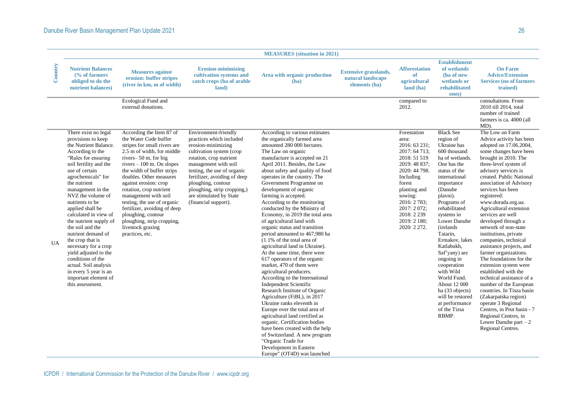|         |                                                                                                                                                                                                                                                                                                                                                                                                                                                                                                                                                                        |                                                                                                                                                                                                                                                                                                                                                                                                                                                                       |                                                                                                                                                                                                                                                                                                                              | <b>MEASURES</b> (situation in 2021)                                                                                                                                                                                                                                                                                                                                                                                                                                                                                                                                                                                                                                                                                                                                                                                                                                                                                                                                                                                                                                                                                                                            |                                                                    |                                                                                                                                                                                                                                          |                                                                                                                                                                                                                                                                                                                                                                                                                                                                           |                                                                                                                                                                                                                                                                                                                                                                                                                                                                                                                                                                                                                                                                                                                                                                                                                  |
|---------|------------------------------------------------------------------------------------------------------------------------------------------------------------------------------------------------------------------------------------------------------------------------------------------------------------------------------------------------------------------------------------------------------------------------------------------------------------------------------------------------------------------------------------------------------------------------|-----------------------------------------------------------------------------------------------------------------------------------------------------------------------------------------------------------------------------------------------------------------------------------------------------------------------------------------------------------------------------------------------------------------------------------------------------------------------|------------------------------------------------------------------------------------------------------------------------------------------------------------------------------------------------------------------------------------------------------------------------------------------------------------------------------|----------------------------------------------------------------------------------------------------------------------------------------------------------------------------------------------------------------------------------------------------------------------------------------------------------------------------------------------------------------------------------------------------------------------------------------------------------------------------------------------------------------------------------------------------------------------------------------------------------------------------------------------------------------------------------------------------------------------------------------------------------------------------------------------------------------------------------------------------------------------------------------------------------------------------------------------------------------------------------------------------------------------------------------------------------------------------------------------------------------------------------------------------------------|--------------------------------------------------------------------|------------------------------------------------------------------------------------------------------------------------------------------------------------------------------------------------------------------------------------------|---------------------------------------------------------------------------------------------------------------------------------------------------------------------------------------------------------------------------------------------------------------------------------------------------------------------------------------------------------------------------------------------------------------------------------------------------------------------------|------------------------------------------------------------------------------------------------------------------------------------------------------------------------------------------------------------------------------------------------------------------------------------------------------------------------------------------------------------------------------------------------------------------------------------------------------------------------------------------------------------------------------------------------------------------------------------------------------------------------------------------------------------------------------------------------------------------------------------------------------------------------------------------------------------------|
| Country | <b>Nutrient Balances</b><br>$\frac{6}{6}$ of farmers<br>obliged to do the<br>nutrient balances)                                                                                                                                                                                                                                                                                                                                                                                                                                                                        | <b>Measures against</b><br>erosion: buffer stripes<br>(river in km, m of width)                                                                                                                                                                                                                                                                                                                                                                                       | <b>Erosion-minimizing</b><br>cultivation systems and<br>catch crops (ha of arable<br>land)                                                                                                                                                                                                                                   | Area with organic production<br>(ha)                                                                                                                                                                                                                                                                                                                                                                                                                                                                                                                                                                                                                                                                                                                                                                                                                                                                                                                                                                                                                                                                                                                           | <b>Extensive grasslands,</b><br>natural landscape<br>elements (ha) | <b>Afforestation</b><br>of<br><i>agricultural</i><br>land (ha)                                                                                                                                                                           | <b>Establishment</b><br>of wetlands<br>(ha of new<br>wetlands or<br>rehabilitated<br>ones)                                                                                                                                                                                                                                                                                                                                                                                | <b>On Farm</b><br><b>Advice/Extension</b><br><b>Services (no of farmers)</b><br>trained)                                                                                                                                                                                                                                                                                                                                                                                                                                                                                                                                                                                                                                                                                                                         |
|         |                                                                                                                                                                                                                                                                                                                                                                                                                                                                                                                                                                        | Ecological Fund and<br>external donations.                                                                                                                                                                                                                                                                                                                                                                                                                            |                                                                                                                                                                                                                                                                                                                              |                                                                                                                                                                                                                                                                                                                                                                                                                                                                                                                                                                                                                                                                                                                                                                                                                                                                                                                                                                                                                                                                                                                                                                |                                                                    | compared to<br>2012.                                                                                                                                                                                                                     |                                                                                                                                                                                                                                                                                                                                                                                                                                                                           | consultations. From<br>2010 till 2014, total<br>number of trained<br>farmers is ca. 4000 (all<br>MD).                                                                                                                                                                                                                                                                                                                                                                                                                                                                                                                                                                                                                                                                                                            |
| UA      | There exist no legal<br>provisions to keep<br>the Nutrient Balance.<br>According to the<br>"Rules for ensuring<br>soil fertility and the<br>use of certain<br>agrochemicals" for<br>the nutrient<br>management in the<br>NVZ the volume of<br>nutrients to be<br>applied shall be<br>calculated in view of<br>the nutrient supply of<br>the soil and the<br>nutrient demand of<br>the crop that is<br>necessary for a crop<br>yield adjusted to the<br>conditions of the<br>actual. Soil analysis<br>in every 5 year is an<br>important element of<br>this assessment. | According the Item 87 of<br>the Water Code buffer<br>stripes for small rivers are<br>2.5 m of width, for middle<br>rivers-50 m, for big<br>rivers $-100$ m. On slopes<br>the width of buffer strips<br>doubles. Other measures<br>against erosion: crop<br>rotation, crop nutrient<br>management with soil<br>testing, the use of organic<br>fertilizer, avoiding of deep<br>ploughing, contour<br>ploughing, strip cropping,<br>livestock grazing<br>practices, etc. | Environment-friendly<br>practices which included<br>erosion-minimizing<br>cultivation system (crop<br>rotation, crop nutrient<br>management with soil<br>testing, the use of organic<br>fertilizer, avoiding of deep<br>ploughing, contour<br>ploughing, strip cropping,)<br>are stimulated by State<br>(financial support). | According to various estimates<br>the organically farmed area<br>amounted 280 000 hectares.<br>The Law on organic<br>manufacture is accepted on 21<br>April 2011. Besides, the Law<br>about safety and quality of food<br>operates in the country. The<br>Government Programme on<br>development of organic<br>farming is accepted.<br>According to the monitoring<br>conducted by the Ministry of<br>Economy, in 2019 the total area<br>of agricultural land with<br>organic status and transition<br>period amounted to 467,980 ha<br>$(1.1\% \text{ of the total area of})$<br>agricultural land in Ukraine).<br>At the same time, there were<br>617 operators of the organic<br>market, 470 of them were<br>agricultural producers.<br>According to the International<br><b>Independent Scientific</b><br>Research Institute of Organic<br>Agriculture (FiBL), in 2017<br>Ukraine ranks eleventh in<br>Europe over the total area of<br>agricultural land certified as<br>organic. Certification bodies<br>have been created with the help<br>of Switzerland. A new program<br>"Organic Trade for<br>Development in Eastern<br>Europe" (OT4D) was launched |                                                                    | Forestation<br>area:<br>2016: 63 231;<br>2017: 64 713;<br>2018: 51 519<br>2019: 48 837;<br>2020: 44 798.<br>Including<br>forest<br>planting and<br>sowing:<br>2016: 2 783;<br>2017: 2072;<br>2018: 2 239<br>2019: 2 180;<br>2020: 2 272. | <b>Black See</b><br>region of<br>Ukraine has<br>600 thousand<br>ha of wetlands.<br>One has the<br>status of the<br>international<br>importance<br>(Danube<br>playni).<br>Programs of<br>rehabilitated<br>systems in<br>Lower Danube<br>(irelands)<br>Tatarin,<br>Ermakov, lakes<br>Katlabukh,<br>Saf'yany) are<br>ongoing in<br>cooperation<br>with Wild<br>World Fund.<br>About 12 000<br>ha (33 objects)<br>will be restored<br>at performance<br>of the Tizsa<br>RBMP. | The Low on Farm<br>Advice activity has been<br>adopted on 17.06.2004,<br>some changes have been<br>brought in 2010. The<br>three-level system of<br>advisory services is<br>created. Public National<br>association of Advisory<br>services has been<br>registered:<br>www.dorada.org.ua.<br>Agricultural extension<br>services are well<br>developed through a<br>network of non-state<br>institutions, private<br>companies, technical<br>assistance projects, and<br>farmer organizations.<br>The foundations for the<br>extension system were<br>established with the<br>technical assistance of a<br>number of the European<br>countries. In Tisza basin<br>(Zakarpatska region)<br>operate 3 Regional<br>Centres, in Prut basin - 7<br>Regional Centres, in<br>Lower Danube part $-2$<br>Regional Centres. |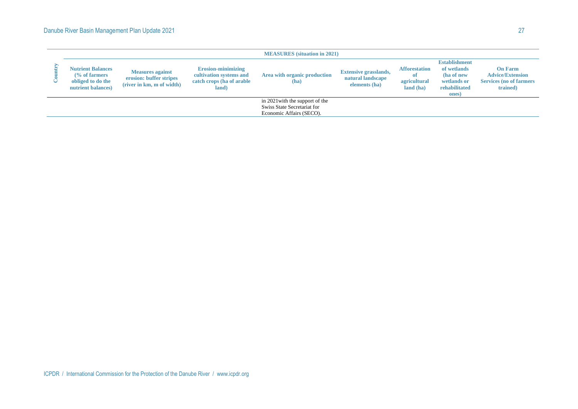|                                                                                                 |                                                                                 |                                                                                             | <b>MEASURES</b> (situation in 2021)                                                        |                                                                    |                                                         |                                                                                            |                                                                                          |
|-------------------------------------------------------------------------------------------------|---------------------------------------------------------------------------------|---------------------------------------------------------------------------------------------|--------------------------------------------------------------------------------------------|--------------------------------------------------------------------|---------------------------------------------------------|--------------------------------------------------------------------------------------------|------------------------------------------------------------------------------------------|
| <b>Nutrient Balances</b><br>$\frac{6}{6}$ of farmers<br>obliged to do the<br>nutrient balances) | <b>Measures against</b><br>erosion: buffer stripes<br>(river in km, m of width) | <b>Erosion-minimizing</b><br>cultivation systems and<br>catch crops (ha of arable)<br>land) | Area with organic production<br>(ha)                                                       | <b>Extensive grasslands,</b><br>natural landscape<br>elements (ha) | <b>Afforestation</b><br>0ľ<br>agricultural<br>land (ha) | <b>Establishment</b><br>of wetlands<br>(ha of new<br>wetlands or<br>rehabilitated<br>ones) | <b>On Farm</b><br><b>Advice/Extension</b><br><b>Services</b> (no of farmers)<br>trained) |
|                                                                                                 |                                                                                 |                                                                                             | in 2021 with the support of the<br>Swiss State Secretariat for<br>Economic Affairs (SECO). |                                                                    |                                                         |                                                                                            |                                                                                          |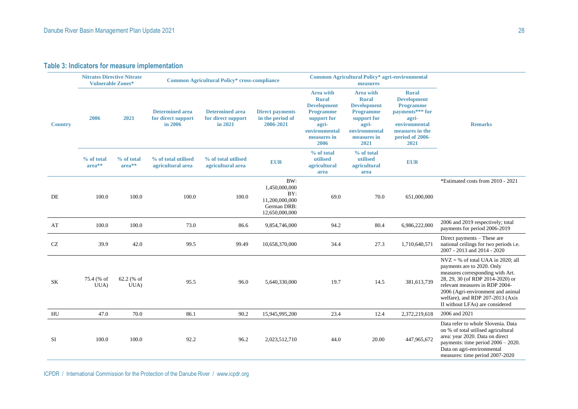### **Table 3: Indicators for measure implementation**

|                | <b>Nitrates Directive Nitrate</b><br><b>Vulnerable Zones*</b> |                      |                                                         | <b>Common Agricultural Policy* cross-compliance</b>     |                                                                                |                                                                                                                                            | Common Agricultural Policy* agri-environmental<br>measures                                                                                 |                                                                                                                                                   |                                                                                                                                                                                                                                                                                         |
|----------------|---------------------------------------------------------------|----------------------|---------------------------------------------------------|---------------------------------------------------------|--------------------------------------------------------------------------------|--------------------------------------------------------------------------------------------------------------------------------------------|--------------------------------------------------------------------------------------------------------------------------------------------|---------------------------------------------------------------------------------------------------------------------------------------------------|-----------------------------------------------------------------------------------------------------------------------------------------------------------------------------------------------------------------------------------------------------------------------------------------|
| <b>Country</b> | 2006                                                          | 2021                 | <b>Determined area</b><br>for direct support<br>in 2006 | <b>Determined area</b><br>for direct support<br>in 2021 | <b>Direct payments</b><br>in the period of<br>2006-2021                        | <b>Area with</b><br><b>Rural</b><br><b>Development</b><br><b>Programme</b><br>support for<br>agri-<br>environmental<br>measures in<br>2006 | <b>Area with</b><br><b>Rural</b><br><b>Development</b><br><b>Programme</b><br>support for<br>agri-<br>environmental<br>measures in<br>2021 | <b>Rural</b><br><b>Development</b><br><b>Programme</b><br>payments*** for<br>agri-<br>environmental<br>measures in the<br>period of 2006-<br>2021 | <b>Remarks</b>                                                                                                                                                                                                                                                                          |
|                | % of total<br>$area**$                                        | % of total<br>area** | % of total utilised<br>agricultural area                | % of total utilised<br>agricultural area                | <b>EUR</b>                                                                     | % of total<br>utilised<br>agricultural<br>area                                                                                             | % of total<br>utilised<br>agricultural<br>area                                                                                             | <b>EUR</b>                                                                                                                                        |                                                                                                                                                                                                                                                                                         |
| DE             | 100.0                                                         | 100.0                | 100.0                                                   | 100.0                                                   | BW:<br>1,450,000,000<br>BY:<br>11,200,000,000<br>German DRB:<br>12,650,000,000 | 69.0                                                                                                                                       | 70.0                                                                                                                                       | 651,000,000                                                                                                                                       | *Estimated costs from 2010 - 2021                                                                                                                                                                                                                                                       |
| AT             | 100.0                                                         | 100.0                | 73.0                                                    | 86.6                                                    | 9,854,746,000                                                                  | 94.2                                                                                                                                       | 80.4                                                                                                                                       | 6,986,222,000                                                                                                                                     | 2006 and 2019 respectively; total<br>payments for period 2006-2019                                                                                                                                                                                                                      |
| CZ             | 39.9                                                          | 42.0                 | 99.5                                                    | 99.49                                                   | 10,658,370,000                                                                 | 34.4                                                                                                                                       | 27.3                                                                                                                                       | 1,710,640,571                                                                                                                                     | Direct payments – These are<br>national ceilings for two periods i.e.<br>2007 - 2013 and 2014 - 2020                                                                                                                                                                                    |
| SK             | 75.4 (% of<br>UUA)                                            | $62.2$ (% of<br>UUA) | 95.5                                                    | 96.0                                                    | 5,640,330,000                                                                  | 19.7                                                                                                                                       | 14.5                                                                                                                                       | 381,613,739                                                                                                                                       | $NVZ = %$ of total UAA in 2020; all<br>payments are to 2020. Only<br>measures corresponding with Art.<br>28, 29, 30 (of RDP 2014-2020) or<br>relevant measures in RDP 2004-<br>2006 (Agri-environment and animal<br>welfare), and RDP 207-2013 (Axis<br>II without LFAs) are considered |
| HU             | 47.0                                                          | 70.0                 | 86.1                                                    | 90.2                                                    | 15,945,995,200                                                                 | 23.4                                                                                                                                       | 12.4                                                                                                                                       | 2,372,219,618                                                                                                                                     | 2006 and 2021                                                                                                                                                                                                                                                                           |
| SI             | 100.0                                                         | 100.0                | 92.2                                                    | 96.2                                                    | 2,023,512,710                                                                  | 44.0                                                                                                                                       | 20.00                                                                                                                                      | 447,965,672                                                                                                                                       | Data refer to whole Slovenia. Data<br>on % of total utilised agricultural<br>area: year 2020. Data on direct<br>payments: time period $2006 - 2020$ .<br>Data on agri-environmental<br>measures: time period 2007-2020                                                                  |